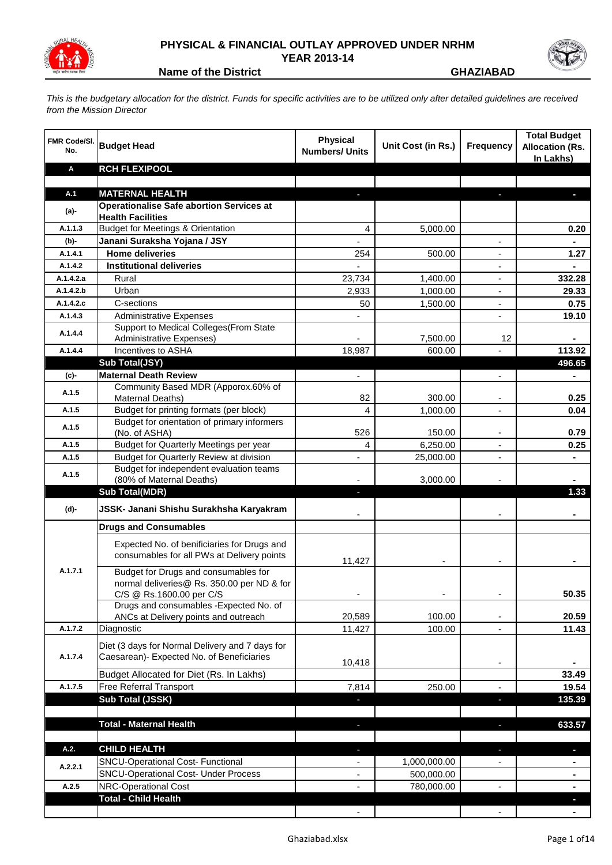

## **PHYSICAL & FINANCIAL OUTLAY APPROVED UNDER NRHM YEAR 2013-14**



**Name of the District CHAZIABAD** 

*This is the budgetary allocation for the district. Funds for specific activities are to be utilized only after detailed guidelines are received from the Mission Director*

| <b>FMR Code/SI.</b><br>No. | <b>Budget Head</b>                                                                                             | <b>Physical</b><br><b>Numbers/ Units</b> | Unit Cost (in Rs.) | <b>Frequency</b> | <b>Total Budget</b><br><b>Allocation (Rs.</b><br>In Lakhs) |
|----------------------------|----------------------------------------------------------------------------------------------------------------|------------------------------------------|--------------------|------------------|------------------------------------------------------------|
| A                          | <b>RCH FLEXIPOOL</b>                                                                                           |                                          |                    |                  |                                                            |
| A.1                        | <b>MATERNAL HEALTH</b>                                                                                         |                                          |                    |                  |                                                            |
|                            | <b>Operationalise Safe abortion Services at</b>                                                                |                                          |                    |                  |                                                            |
| (a)-                       | <b>Health Facilities</b>                                                                                       |                                          |                    |                  |                                                            |
| A.1.1.3                    | <b>Budget for Meetings &amp; Orientation</b>                                                                   | 4                                        | 5,000.00           |                  | 0.20                                                       |
| (b)-                       | Janani Suraksha Yojana / JSY                                                                                   | $\overline{a}$                           |                    |                  | $\blacksquare$                                             |
| A.1.4.1                    | <b>Home deliveries</b>                                                                                         | 254                                      | 500.00             |                  | 1.27                                                       |
| A.1.4.2                    | <b>Institutional deliveries</b>                                                                                |                                          |                    |                  | $\blacksquare$                                             |
| A.1.4.2.a                  | Rural                                                                                                          | 23,734                                   | 1,400.00           |                  | 332.28                                                     |
| A.1.4.2.b                  | Urban                                                                                                          | 2,933                                    | 1,000.00           | ÷,               | 29.33                                                      |
| A.1.4.2.c                  | C-sections                                                                                                     | 50                                       | 1,500.00           | ÷,               | 0.75                                                       |
| A.1.4.3                    | <b>Administrative Expenses</b>                                                                                 |                                          |                    |                  | 19.10                                                      |
| A.1.4.4                    | Support to Medical Colleges (From State                                                                        |                                          |                    |                  |                                                            |
| A.1.4.4                    | <b>Administrative Expenses)</b><br>Incentives to ASHA                                                          | 18,987                                   | 7,500.00<br>600.00 | 12               | 113.92                                                     |
|                            | Sub Total(JSY)                                                                                                 |                                          |                    |                  | 496.65                                                     |
| (c)-                       | <b>Maternal Death Review</b>                                                                                   | $\blacksquare$                           |                    | $\blacksquare$   |                                                            |
|                            | Community Based MDR (Apporox.60% of                                                                            |                                          |                    |                  |                                                            |
| A.1.5                      | Maternal Deaths)                                                                                               | 82                                       | 300.00             |                  | 0.25                                                       |
| A.1.5                      | Budget for printing formats (per block)                                                                        | 4                                        | 1,000.00           |                  | 0.04                                                       |
| A.1.5                      | Budget for orientation of primary informers<br>(No. of ASHA)                                                   | 526                                      | 150.00             |                  | 0.79                                                       |
| A.1.5                      | Budget for Quarterly Meetings per year                                                                         | 4                                        | 6,250.00           |                  | 0.25                                                       |
| A.1.5                      | Budget for Quarterly Review at division                                                                        | $\overline{a}$                           | 25,000.00          |                  |                                                            |
|                            | Budget for independent evaluation teams                                                                        |                                          |                    |                  |                                                            |
| A.1.5                      | (80% of Maternal Deaths)                                                                                       |                                          | 3,000.00           |                  |                                                            |
|                            | <b>Sub Total(MDR)</b>                                                                                          | ٠                                        |                    |                  | 1.33                                                       |
| (d)-                       | JSSK- Janani Shishu Surakhsha Karyakram                                                                        |                                          |                    |                  |                                                            |
|                            | <b>Drugs and Consumables</b>                                                                                   |                                          |                    |                  |                                                            |
|                            | Expected No. of benificiaries for Drugs and<br>consumables for all PWs at Delivery points                      | 11,427                                   |                    |                  |                                                            |
| A.1.7.1                    | Budget for Drugs and consumables for<br>normal deliveries@ Rs. 350.00 per ND & for<br>C/S @ Rs.1600.00 per C/S |                                          |                    |                  | 50.35                                                      |
|                            | Drugs and consumables - Expected No. of                                                                        |                                          |                    |                  |                                                            |
|                            | ANCs at Delivery points and outreach                                                                           | 20,589                                   | 100.00             | -                | 20.59                                                      |
| A.1.7.2                    | Diagnostic                                                                                                     | 11,427                                   | 100.00             | $\overline{a}$   | 11.43                                                      |
| A.1.7.4                    | Diet (3 days for Normal Delivery and 7 days for<br>Caesarean)- Expected No. of Beneficiaries                   |                                          |                    |                  |                                                            |
|                            |                                                                                                                | 10,418                                   |                    | $\blacksquare$   |                                                            |
|                            | Budget Allocated for Diet (Rs. In Lakhs)                                                                       |                                          |                    |                  | 33.49                                                      |
| A.1.7.5                    | Free Referral Transport                                                                                        | 7,814                                    | 250.00             |                  | 19.54                                                      |
|                            | Sub Total (JSSK)                                                                                               |                                          |                    | J,               | 135.39                                                     |
|                            | <b>Total - Maternal Health</b>                                                                                 |                                          |                    |                  | 633.57                                                     |
|                            |                                                                                                                |                                          |                    |                  |                                                            |
| A.2.                       | <b>CHILD HEALTH</b>                                                                                            |                                          |                    | ٠                |                                                            |
|                            | <b>SNCU-Operational Cost- Functional</b>                                                                       |                                          | 1,000,000.00       |                  |                                                            |
| A.2.2.1                    | <b>SNCU-Operational Cost- Under Process</b>                                                                    | $\overline{\phantom{a}}$                 | 500,000.00         |                  | $\blacksquare$                                             |
| A.2.5                      | NRC-Operational Cost                                                                                           |                                          | 780,000.00         |                  | $\blacksquare$                                             |
|                            | <b>Total - Child Health</b>                                                                                    |                                          |                    |                  |                                                            |
|                            |                                                                                                                |                                          |                    |                  |                                                            |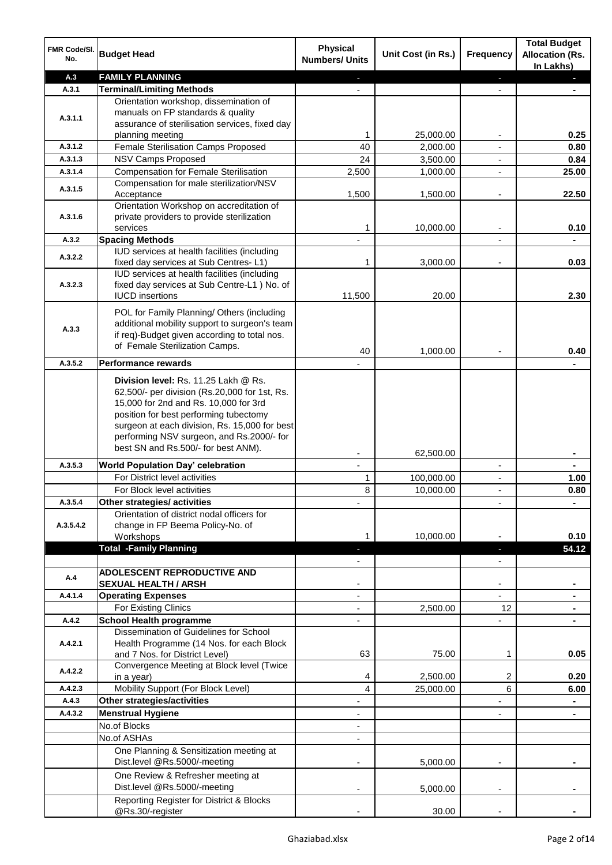| FMR Code/SI.<br>No. | <b>Budget Head</b>                                                                            | <b>Physical</b><br><b>Numbers/ Units</b> | Unit Cost (in Rs.)   | Frequency                        | <b>Total Budget</b><br><b>Allocation (Rs.</b><br>In Lakhs) |
|---------------------|-----------------------------------------------------------------------------------------------|------------------------------------------|----------------------|----------------------------------|------------------------------------------------------------|
| A.3                 | <b>FAMILY PLANNING</b>                                                                        |                                          |                      | ٠                                |                                                            |
| A.3.1               | <b>Terminal/Limiting Methods</b>                                                              |                                          |                      |                                  |                                                            |
|                     | Orientation workshop, dissemination of                                                        |                                          |                      |                                  |                                                            |
| A.3.1.1             | manuals on FP standards & quality                                                             |                                          |                      |                                  |                                                            |
|                     | assurance of sterilisation services, fixed day                                                |                                          |                      |                                  |                                                            |
|                     | planning meeting<br>Female Sterilisation Camps Proposed                                       | 1                                        | 25,000.00            |                                  | 0.25                                                       |
| A.3.1.2<br>A.3.1.3  | <b>NSV Camps Proposed</b>                                                                     | 40                                       | 2,000.00             |                                  | 0.80                                                       |
| A.3.1.4             | <b>Compensation for Female Sterilisation</b>                                                  | 24<br>2,500                              | 3,500.00<br>1,000.00 | $\blacksquare$<br>$\blacksquare$ | 0.84<br>25.00                                              |
|                     | Compensation for male sterilization/NSV                                                       |                                          |                      |                                  |                                                            |
| A.3.1.5             | Acceptance                                                                                    | 1,500                                    | 1,500.00             | $\overline{a}$                   | 22.50                                                      |
|                     | Orientation Workshop on accreditation of                                                      |                                          |                      |                                  |                                                            |
| A.3.1.6             | private providers to provide sterilization                                                    |                                          |                      |                                  |                                                            |
|                     | services                                                                                      | 1                                        | 10,000.00            | $\blacksquare$                   | 0.10                                                       |
| A.3.2               | <b>Spacing Methods</b>                                                                        |                                          |                      |                                  |                                                            |
| A.3.2.2             | IUD services at health facilities (including                                                  |                                          |                      |                                  |                                                            |
|                     | fixed day services at Sub Centres-L1)                                                         | 1                                        | 3,000.00             |                                  | 0.03                                                       |
| A.3.2.3             | IUD services at health facilities (including<br>fixed day services at Sub Centre-L1 ) No. of  |                                          |                      |                                  |                                                            |
|                     | <b>IUCD</b> insertions                                                                        | 11,500                                   | 20.00                |                                  | 2.30                                                       |
|                     |                                                                                               |                                          |                      |                                  |                                                            |
|                     | POL for Family Planning/ Others (including                                                    |                                          |                      |                                  |                                                            |
| A.3.3               | additional mobility support to surgeon's team<br>if req)-Budget given according to total nos. |                                          |                      |                                  |                                                            |
|                     | of Female Sterilization Camps.                                                                |                                          |                      |                                  |                                                            |
|                     |                                                                                               | 40                                       | 1,000.00             |                                  | 0.40                                                       |
| A.3.5.2             | <b>Performance rewards</b>                                                                    |                                          |                      |                                  |                                                            |
|                     | Division level: Rs. 11.25 Lakh @ Rs.                                                          |                                          |                      |                                  |                                                            |
|                     | 62,500/- per division (Rs.20,000 for 1st, Rs.                                                 |                                          |                      |                                  |                                                            |
|                     | 15,000 for 2nd and Rs. 10,000 for 3rd                                                         |                                          |                      |                                  |                                                            |
|                     | position for best performing tubectomy<br>surgeon at each division, Rs. 15,000 for best       |                                          |                      |                                  |                                                            |
|                     | performing NSV surgeon, and Rs.2000/- for                                                     |                                          |                      |                                  |                                                            |
|                     | best SN and Rs.500/- for best ANM).                                                           |                                          |                      |                                  |                                                            |
|                     |                                                                                               |                                          | 62,500.00            |                                  |                                                            |
| A.3.5.3             | <b>World Population Day' celebration</b><br>For District level activities                     | $\mathbf{r}$                             |                      | $\blacksquare$                   | $\blacksquare$                                             |
|                     | For Block level activities                                                                    | 1                                        | 100,000.00           | $\overline{\phantom{a}}$         | 1.00                                                       |
| A.3.5.4             | Other strategies/ activities                                                                  | 8                                        | 10,000.00            | $\blacksquare$                   | 0.80                                                       |
|                     | Orientation of district nodal officers for                                                    |                                          |                      |                                  |                                                            |
| A.3.5.4.2           | change in FP Beema Policy-No. of                                                              |                                          |                      |                                  |                                                            |
|                     | Workshops                                                                                     |                                          | 10,000.00            |                                  | 0.10                                                       |
|                     | <b>Total -Family Planning</b>                                                                 |                                          |                      |                                  | 54.12                                                      |
|                     |                                                                                               |                                          |                      |                                  |                                                            |
| A.4                 | <b>ADOLESCENT REPRODUCTIVE AND</b>                                                            |                                          |                      |                                  |                                                            |
|                     | <b>SEXUAL HEALTH / ARSH</b>                                                                   |                                          |                      |                                  |                                                            |
| A.4.1.4             | <b>Operating Expenses</b>                                                                     |                                          |                      |                                  |                                                            |
|                     | For Existing Clinics                                                                          |                                          | 2,500.00             | 12                               |                                                            |
| A.4.2               | <b>School Health programme</b>                                                                |                                          |                      |                                  |                                                            |
| A.4.2.1             | Dissemination of Guidelines for School<br>Health Programme (14 Nos. for each Block            |                                          |                      |                                  |                                                            |
|                     | and 7 Nos. for District Level)                                                                | 63                                       | 75.00                | 1                                | 0.05                                                       |
|                     | Convergence Meeting at Block level (Twice                                                     |                                          |                      |                                  |                                                            |
| A.4.2.2             | in a year)                                                                                    | 4                                        | 2,500.00             | 2                                | 0.20                                                       |
| A.4.2.3             | Mobility Support (For Block Level)                                                            | 4                                        | 25,000.00            | 6                                | 6.00                                                       |
| A.4.3               | Other strategies/activities                                                                   |                                          |                      |                                  |                                                            |
| A.4.3.2             | <b>Menstrual Hygiene</b>                                                                      |                                          |                      |                                  |                                                            |
|                     | No.of Blocks                                                                                  |                                          |                      |                                  |                                                            |
|                     | No.of ASHAs                                                                                   |                                          |                      |                                  |                                                            |
|                     | One Planning & Sensitization meeting at                                                       |                                          |                      |                                  |                                                            |
|                     | Dist.level @Rs.5000/-meeting                                                                  |                                          | 5,000.00             |                                  |                                                            |
|                     | One Review & Refresher meeting at                                                             |                                          |                      |                                  |                                                            |
|                     | Dist.level @Rs.5000/-meeting                                                                  |                                          | 5,000.00             |                                  |                                                            |
|                     | Reporting Register for District & Blocks                                                      |                                          |                      |                                  |                                                            |
|                     | @Rs.30/-register                                                                              |                                          | 30.00                |                                  |                                                            |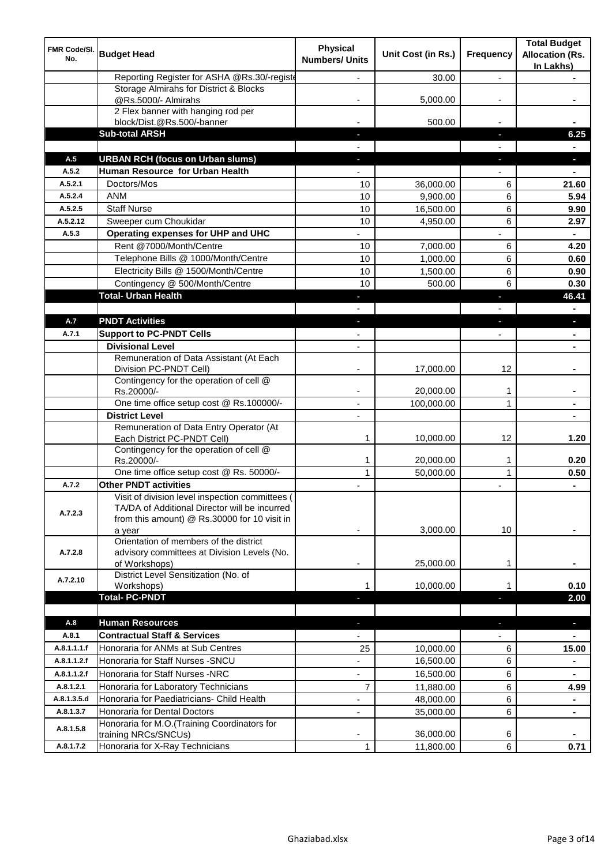| FMR Code/SI.<br>No. | <b>Budget Head</b>                                                                                                                                         | <b>Physical</b><br><b>Numbers/ Units</b> | Unit Cost (in Rs.) | Frequency      | <b>Total Budget</b><br><b>Allocation (Rs.</b><br>In Lakhs) |
|---------------------|------------------------------------------------------------------------------------------------------------------------------------------------------------|------------------------------------------|--------------------|----------------|------------------------------------------------------------|
|                     | Reporting Register for ASHA @Rs.30/-registe                                                                                                                |                                          | 30.00              | $\overline{a}$ |                                                            |
|                     | Storage Almirahs for District & Blocks                                                                                                                     |                                          |                    |                |                                                            |
|                     | @Rs.5000/- Almirahs<br>2 Flex banner with hanging rod per                                                                                                  |                                          | 5,000.00           |                |                                                            |
|                     | block/Dist.@Rs.500/-banner                                                                                                                                 |                                          | 500.00             |                |                                                            |
|                     | <b>Sub-total ARSH</b>                                                                                                                                      |                                          |                    | J,             | 6.25                                                       |
|                     |                                                                                                                                                            |                                          |                    |                |                                                            |
| A.5                 | <b>URBAN RCH (focus on Urban slums)</b>                                                                                                                    |                                          |                    | J,             | a.                                                         |
| A.5.2               | Human Resource for Urban Health                                                                                                                            |                                          |                    |                |                                                            |
| A.5.2.1             | Doctors/Mos                                                                                                                                                | 10                                       | 36,000.00          | 6              | 21.60                                                      |
| A.5.2.4             | <b>ANM</b>                                                                                                                                                 | 10                                       | 9,900.00           | 6              | 5.94                                                       |
| A.5.2.5             | <b>Staff Nurse</b>                                                                                                                                         | 10                                       | 16,500.00          | 6              | 9.90                                                       |
| A.5.2.12            | Sweeper cum Choukidar                                                                                                                                      | 10                                       | 4,950.00           | 6              | 2.97                                                       |
| A.5.3               | Operating expenses for UHP and UHC                                                                                                                         |                                          |                    |                |                                                            |
|                     | Rent @7000/Month/Centre                                                                                                                                    | 10                                       | 7,000.00           | 6              | 4.20                                                       |
|                     | Telephone Bills @ 1000/Month/Centre                                                                                                                        | 10                                       | 1,000.00           | 6              | 0.60                                                       |
|                     | Electricity Bills @ 1500/Month/Centre                                                                                                                      | 10                                       | 1,500.00           | 6              | 0.90                                                       |
|                     | Contingency @ 500/Month/Centre                                                                                                                             | 10                                       | 500.00             | 6              | 0.30                                                       |
|                     | <b>Total- Urban Health</b>                                                                                                                                 |                                          |                    | п              | 46.41                                                      |
|                     |                                                                                                                                                            |                                          |                    |                |                                                            |
| A.7                 | <b>PNDT Activities</b>                                                                                                                                     |                                          |                    |                |                                                            |
| A.7.1               | <b>Support to PC-PNDT Cells</b>                                                                                                                            |                                          |                    |                |                                                            |
|                     | <b>Divisional Level</b>                                                                                                                                    | $\overline{\phantom{a}}$                 |                    |                |                                                            |
|                     | Remuneration of Data Assistant (At Each<br>Division PC-PNDT Cell)                                                                                          |                                          | 17,000.00          | 12             |                                                            |
|                     | Contingency for the operation of cell @<br>Rs.20000/-                                                                                                      |                                          | 20,000.00          | 1              |                                                            |
|                     | One time office setup cost @ Rs.100000/-                                                                                                                   | $\blacksquare$                           | 100,000.00         | 1              |                                                            |
|                     | <b>District Level</b>                                                                                                                                      |                                          |                    |                |                                                            |
|                     | Remuneration of Data Entry Operator (At<br>Each District PC-PNDT Cell)                                                                                     | 1                                        | 10,000.00          | 12             | 1.20                                                       |
|                     | Contingency for the operation of cell @<br>Rs.20000/-                                                                                                      | 1                                        | 20,000.00          | 1              | 0.20                                                       |
|                     | One time office setup cost @ Rs. 50000/-                                                                                                                   | $\mathbf{1}$                             | 50,000.00          | $\mathbf{1}$   | 0.50                                                       |
| A.7.2               | <b>Other PNDT activities</b>                                                                                                                               |                                          |                    |                | $\blacksquare$                                             |
| A.7.2.3             | Visit of division level inspection committees (<br>TA/DA of Additional Director will be incurred<br>from this amount) @ Rs.30000 for 10 visit in<br>a year |                                          | 3,000.00           | 10             |                                                            |
| A.7.2.8             | Orientation of members of the district<br>advisory committees at Division Levels (No.<br>of Workshops)                                                     | ٠                                        | 25,000.00          | 1              |                                                            |
| A.7.2.10            | District Level Sensitization (No. of<br>Workshops)                                                                                                         | 1                                        | 10,000.00          |                | 0.10                                                       |
|                     | <b>Total-PC-PNDT</b>                                                                                                                                       |                                          |                    |                | 2.00                                                       |
| A.8                 | <b>Human Resources</b>                                                                                                                                     |                                          |                    | ٠              | $\blacksquare$                                             |
| A.8.1               | <b>Contractual Staff &amp; Services</b>                                                                                                                    |                                          |                    |                |                                                            |
| A.8.1.1.1.f         | Honoraria for ANMs at Sub Centres                                                                                                                          | 25                                       | 10,000.00          | 6              | 15.00                                                      |
| A.8.1.1.2.f         | Honoraria for Staff Nurses - SNCU                                                                                                                          |                                          | 16,500.00          | 6              |                                                            |
| A.8.1.1.2.f         | Honoraria for Staff Nurses -NRC                                                                                                                            | $\overline{\phantom{a}}$                 | 16,500.00          | 6              | $\blacksquare$                                             |
| A.8.1.2.1           | Honoraria for Laboratory Technicians                                                                                                                       | 7                                        | 11,880.00          | 6              | 4.99                                                       |
| A.8.1.3.5.d         | Honoraria for Paediatricians- Child Health                                                                                                                 | L,                                       | 48,000.00          | 6              | $\blacksquare$                                             |
| A.8.1.3.7           | Honoraria for Dental Doctors                                                                                                                               | $\overline{\phantom{0}}$                 | 35,000.00          | 6              | $\blacksquare$                                             |
| A.8.1.5.8           | Honoraria for M.O.(Training Coordinators for<br>training NRCs/SNCUs)                                                                                       |                                          | 36,000.00          | 6              |                                                            |
| A.8.1.7.2           | Honoraria for X-Ray Technicians                                                                                                                            | 1                                        | 11,800.00          | 6              | 0.71                                                       |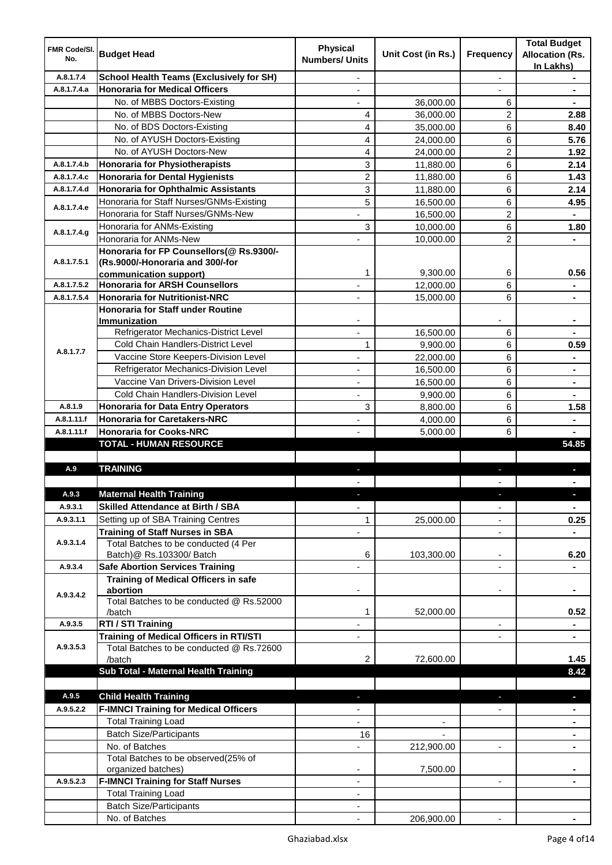| <b>FMR Code/SI.</b><br>No. | <b>Budget Head</b>                                                             | <b>Physical</b><br><b>Numbers/ Units</b> | Unit Cost (in Rs.) | Frequency                | <b>Total Budget</b><br><b>Allocation (Rs.</b><br>In Lakhs) |
|----------------------------|--------------------------------------------------------------------------------|------------------------------------------|--------------------|--------------------------|------------------------------------------------------------|
| A.8.1.7.4                  | <b>School Health Teams (Exclusively for SH)</b>                                |                                          |                    | $\overline{\phantom{a}}$ |                                                            |
| A.8.1.7.4.a                | <b>Honoraria for Medical Officers</b>                                          |                                          |                    |                          |                                                            |
|                            | No. of MBBS Doctors-Existing                                                   |                                          | 36,000.00          | 6                        |                                                            |
|                            | No. of MBBS Doctors-New                                                        | 4                                        | 36,000.00          | 2                        | 2.88                                                       |
|                            | No. of BDS Doctors-Existing                                                    | 4                                        | 35,000.00          | 6                        | 8.40                                                       |
|                            | No. of AYUSH Doctors-Existing                                                  | 4                                        | 24,000.00          | 6                        | 5.76                                                       |
|                            | No. of AYUSH Doctors-New                                                       | 4                                        | 24,000.00          | 2                        | 1.92                                                       |
| A.8.1.7.4.b                | <b>Honoraria for Physiotherapists</b>                                          | 3                                        | 11,880.00          | 6                        | 2.14                                                       |
| A.8.1.7.4.c                | <b>Honoraria for Dental Hygienists</b>                                         | $\overline{c}$                           | 11,880.00          | 6                        | 1.43                                                       |
| A.8.1.7.4.d                | <b>Honoraria for Ophthalmic Assistants</b>                                     | 3                                        | 11,880.00          | 6                        | 2.14                                                       |
|                            | Honoraria for Staff Nurses/GNMs-Existing                                       | 5                                        | 16,500.00          | 6                        | 4.95                                                       |
| A.8.1.7.4.e                | Honoraria for Staff Nurses/GNMs-New                                            |                                          | 16,500.00          | 2                        |                                                            |
|                            | Honoraria for ANMs-Existing                                                    | 3                                        | 10,000.00          | 6                        | 1.80                                                       |
| A.8.1.7.4.g                | Honoraria for ANMs-New                                                         |                                          | 10,000.00          | 2                        |                                                            |
|                            | Honoraria for FP Counsellors(@ Rs.9300/-                                       |                                          |                    |                          |                                                            |
| A.8.1.7.5.1                | (Rs.9000/-Honoraria and 300/-for                                               |                                          |                    |                          |                                                            |
|                            | communication support)                                                         | 1                                        | 9,300.00           | 6                        | 0.56                                                       |
| A.8.1.7.5.2                | <b>Honoraria for ARSH Counsellors</b>                                          | $\blacksquare$                           | 12,000.00          | 6                        | $\blacksquare$                                             |
| A.8.1.7.5.4                | <b>Honoraria for Nutritionist-NRC</b>                                          | $\overline{\phantom{a}}$                 | 15,000.00          | 6                        | $\blacksquare$                                             |
|                            | <b>Honoraria for Staff under Routine</b>                                       |                                          |                    |                          |                                                            |
|                            | Immunization                                                                   |                                          |                    |                          |                                                            |
|                            | Refrigerator Mechanics-District Level                                          |                                          | 16,500.00          | 6                        |                                                            |
| A.8.1.7.7                  | Cold Chain Handlers-District Level                                             | 1                                        | 9,900.00           | 6                        | 0.59                                                       |
|                            | Vaccine Store Keepers-Division Level                                           |                                          | 22,000.00          | 6                        |                                                            |
|                            | Refrigerator Mechanics-Division Level                                          |                                          | 16,500.00          | 6                        |                                                            |
|                            | Vaccine Van Drivers-Division Level                                             |                                          | 16,500.00          | 6                        | $\blacksquare$                                             |
|                            | Cold Chain Handlers-Division Level                                             |                                          | 9,900.00           | 6                        |                                                            |
| A.8.1.9                    | <b>Honoraria for Data Entry Operators</b>                                      | 3                                        | 8,800.00           | 6                        | 1.58                                                       |
| A.8.1.11.f                 | <b>Honoraria for Caretakers-NRC</b>                                            |                                          | 4,000.00           | 6                        |                                                            |
| A.8.1.11.f                 | <b>Honoraria for Cooks-NRC</b>                                                 |                                          | 5,000.00           | 6                        |                                                            |
|                            | <b>TOTAL - HUMAN RESOURCE</b>                                                  |                                          |                    |                          | 54.85                                                      |
|                            | <b>TRAINING</b>                                                                |                                          |                    |                          |                                                            |
| A.9                        |                                                                                | ٠                                        |                    | ٠                        | п                                                          |
|                            |                                                                                |                                          |                    |                          |                                                            |
| A.9.3<br>A.9.3.1           | <b>Maternal Health Training</b>                                                |                                          |                    |                          |                                                            |
|                            | <b>Skilled Attendance at Birth / SBA</b>                                       | $\overline{\phantom{a}}$                 |                    | $\overline{\phantom{a}}$ | $\blacksquare$                                             |
| A.9.3.1.1                  | Setting up of SBA Training Centres                                             | 1                                        | 25,000.00          | ٠                        | 0.25                                                       |
| A.9.3.1.4                  | <b>Training of Staff Nurses in SBA</b><br>Total Batches to be conducted (4 Per | $\overline{\phantom{0}}$                 |                    | $\overline{\phantom{a}}$ |                                                            |
|                            | Batch)@ Rs.103300/ Batch                                                       | 6                                        | 103,300.00         | ٠                        | 6.20                                                       |
| A.9.3.4                    | <b>Safe Abortion Services Training</b>                                         |                                          |                    |                          |                                                            |
|                            | Training of Medical Officers in safe                                           |                                          |                    |                          |                                                            |
|                            | abortion                                                                       |                                          |                    |                          |                                                            |
| A.9.3.4.2                  | Total Batches to be conducted @ Rs.52000                                       |                                          |                    |                          |                                                            |
|                            | /batch                                                                         | 1                                        | 52,000.00          |                          | 0.52                                                       |
| A.9.3.5                    | RTI / STI Training                                                             | ä,                                       |                    | $\blacksquare$           | $\blacksquare$                                             |
|                            | Training of Medical Officers in RTI/STI                                        | $\overline{\phantom{a}}$                 |                    | ٠                        | $\blacksquare$                                             |
| A.9.3.5.3                  | Total Batches to be conducted @ Rs.72600                                       |                                          |                    |                          |                                                            |
|                            | /batch                                                                         | 2                                        | 72,600.00          |                          | 1.45                                                       |
|                            | Sub Total - Maternal Health Training                                           |                                          |                    |                          | 8.42                                                       |
|                            |                                                                                |                                          |                    |                          |                                                            |
| A.9.5                      | <b>Child Health Training</b>                                                   |                                          |                    |                          | ٠                                                          |
| A.9.5.2.2                  | <b>F-IMNCI Training for Medical Officers</b>                                   |                                          |                    |                          |                                                            |
|                            | <b>Total Training Load</b>                                                     |                                          |                    |                          |                                                            |
|                            | <b>Batch Size/Participants</b>                                                 | 16                                       |                    |                          |                                                            |
|                            | No. of Batches                                                                 | ٠                                        | 212,900.00         | ۰                        | $\blacksquare$                                             |
|                            | Total Batches to be observed(25% of                                            |                                          |                    |                          |                                                            |
|                            | organized batches)                                                             |                                          | 7,500.00           |                          |                                                            |
| A.9.5.2.3                  | <b>F-IMNCI Training for Staff Nurses</b>                                       |                                          |                    | $\overline{\phantom{a}}$ |                                                            |
|                            | <b>Total Training Load</b>                                                     | $\overline{\phantom{a}}$                 |                    |                          |                                                            |
|                            | <b>Batch Size/Participants</b>                                                 |                                          |                    |                          |                                                            |
|                            | No. of Batches                                                                 |                                          | 206,900.00         |                          |                                                            |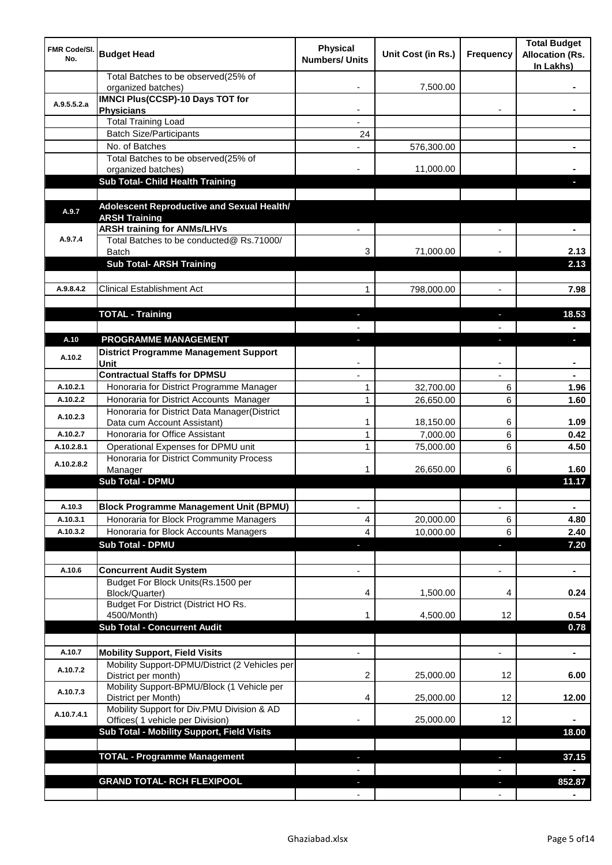| <b>FMR Code/SI.</b><br>No. | <b>Budget Head</b>                                                                      | <b>Physical</b><br><b>Numbers/ Units</b> | Unit Cost (in Rs.) | Frequency                | <b>Total Budget</b><br><b>Allocation (Rs.</b><br>In Lakhs) |
|----------------------------|-----------------------------------------------------------------------------------------|------------------------------------------|--------------------|--------------------------|------------------------------------------------------------|
|                            | Total Batches to be observed(25% of<br>organized batches)                               |                                          | 7,500.00           |                          |                                                            |
| A.9.5.5.2.a                | <b>IMNCI Plus(CCSP)-10 Days TOT for</b>                                                 |                                          |                    |                          |                                                            |
|                            | <b>Physicians</b>                                                                       |                                          |                    |                          |                                                            |
|                            | <b>Total Training Load</b>                                                              |                                          |                    |                          |                                                            |
|                            | <b>Batch Size/Participants</b><br>No. of Batches                                        | 24                                       |                    |                          |                                                            |
|                            | Total Batches to be observed(25% of                                                     |                                          | 576,300.00         |                          |                                                            |
|                            | organized batches)                                                                      |                                          | 11,000.00          |                          |                                                            |
|                            | Sub Total- Child Health Training                                                        |                                          |                    |                          |                                                            |
|                            |                                                                                         |                                          |                    |                          |                                                            |
| A.9.7                      | Adolescent Reproductive and Sexual Health/                                              |                                          |                    |                          |                                                            |
|                            | <b>ARSH Training</b>                                                                    |                                          |                    |                          |                                                            |
| A.9.7.4                    | <b>ARSH training for ANMs/LHVs</b><br>Total Batches to be conducted@ Rs.71000/          |                                          |                    |                          |                                                            |
|                            | Batch                                                                                   | 3                                        | 71,000.00          |                          | 2.13                                                       |
|                            | <b>Sub Total- ARSH Training</b>                                                         |                                          |                    |                          | 2.13                                                       |
|                            |                                                                                         |                                          |                    |                          |                                                            |
| A.9.8.4.2                  | <b>Clinical Establishment Act</b>                                                       | 1                                        | 798,000.00         | $\overline{a}$           | 7.98                                                       |
|                            |                                                                                         |                                          |                    |                          |                                                            |
|                            | <b>TOTAL - Training</b>                                                                 |                                          |                    |                          | 18.53                                                      |
|                            |                                                                                         |                                          |                    |                          |                                                            |
| A.10                       | PROGRAMME MANAGEMENT                                                                    |                                          |                    |                          | a.                                                         |
| A.10.2                     | <b>District Programme Management Support</b>                                            |                                          |                    |                          |                                                            |
|                            | Unit                                                                                    |                                          |                    |                          |                                                            |
|                            | <b>Contractual Staffs for DPMSU</b>                                                     |                                          |                    |                          |                                                            |
| A.10.2.1                   | Honoraria for District Programme Manager                                                | 1                                        | 32,700.00          | 6                        | 1.96                                                       |
| A.10.2.2                   | Honoraria for District Accounts Manager<br>Honoraria for District Data Manager(District | $\mathbf{1}$                             | 26,650.00          | 6                        | 1.60                                                       |
| A.10.2.3                   | Data cum Account Assistant)                                                             | 1                                        | 18,150.00          | 6                        | 1.09                                                       |
| A.10.2.7                   | Honoraria for Office Assistant                                                          | 1                                        | 7,000.00           | 6                        | 0.42                                                       |
| A.10.2.8.1                 | Operational Expenses for DPMU unit                                                      | 1                                        | 75,000.00          | 6                        | 4.50                                                       |
| A.10.2.8.2                 | Honoraria for District Community Process                                                |                                          |                    |                          |                                                            |
|                            | Manager                                                                                 | 1                                        | 26,650.00          | 6                        | 1.60                                                       |
|                            | <b>Sub Total - DPMU</b>                                                                 |                                          |                    |                          | 11.17                                                      |
|                            |                                                                                         |                                          |                    |                          |                                                            |
| A.10.3                     | <b>Block Programme Management Unit (BPMU)</b>                                           | $\overline{\phantom{a}}$                 |                    | $\overline{\phantom{a}}$ | $\blacksquare$                                             |
| A.10.3.1                   | Honoraria for Block Programme Managers                                                  | 4                                        | 20,000.00          | 6                        | 4.80                                                       |
| A.10.3.2                   | Honoraria for Block Accounts Managers                                                   | 4                                        | 10,000.00          | 6                        | 2.40                                                       |
|                            | <b>Sub Total - DPMU</b>                                                                 | ◆                                        |                    | ٠                        | 7.20                                                       |
| A.10.6                     | <b>Concurrent Audit System</b>                                                          |                                          |                    | $\overline{\phantom{0}}$ | $\blacksquare$                                             |
|                            | Budget For Block Units(Rs. 1500 per                                                     |                                          |                    |                          |                                                            |
|                            | Block/Quarter)                                                                          | 4                                        | 1,500.00           | 4                        | 0.24                                                       |
|                            | Budget For District (District HO Rs.                                                    |                                          |                    |                          |                                                            |
|                            | 4500/Month)                                                                             |                                          | 4,500.00           | 12                       | 0.54                                                       |
|                            | <b>Sub Total - Concurrent Audit</b>                                                     |                                          |                    |                          | 0.78                                                       |
|                            |                                                                                         |                                          |                    |                          |                                                            |
| A.10.7                     | <b>Mobility Support, Field Visits</b><br>Mobility Support-DPMU/District (2 Vehicles per |                                          |                    | $\overline{a}$           | ä,                                                         |
| A.10.7.2                   | District per month)                                                                     | 2                                        | 25,000.00          | 12                       | 6.00                                                       |
| A.10.7.3                   | Mobility Support-BPMU/Block (1 Vehicle per<br>District per Month)                       | 4                                        | 25,000.00          | 12                       | 12.00                                                      |
| A.10.7.4.1                 | Mobility Support for Div.PMU Division & AD<br>Offices( 1 vehicle per Division)          |                                          | 25,000.00          | 12                       |                                                            |
|                            | Sub Total - Mobility Support, Field Visits                                              |                                          |                    |                          | 18.00                                                      |
|                            |                                                                                         |                                          |                    |                          |                                                            |
|                            | <b>TOTAL - Programme Management</b>                                                     |                                          |                    |                          | 37.15                                                      |
|                            |                                                                                         |                                          |                    |                          |                                                            |
|                            | <b>GRAND TOTAL- RCH FLEXIPOOL</b>                                                       |                                          |                    |                          | 852.87                                                     |
|                            |                                                                                         |                                          |                    |                          |                                                            |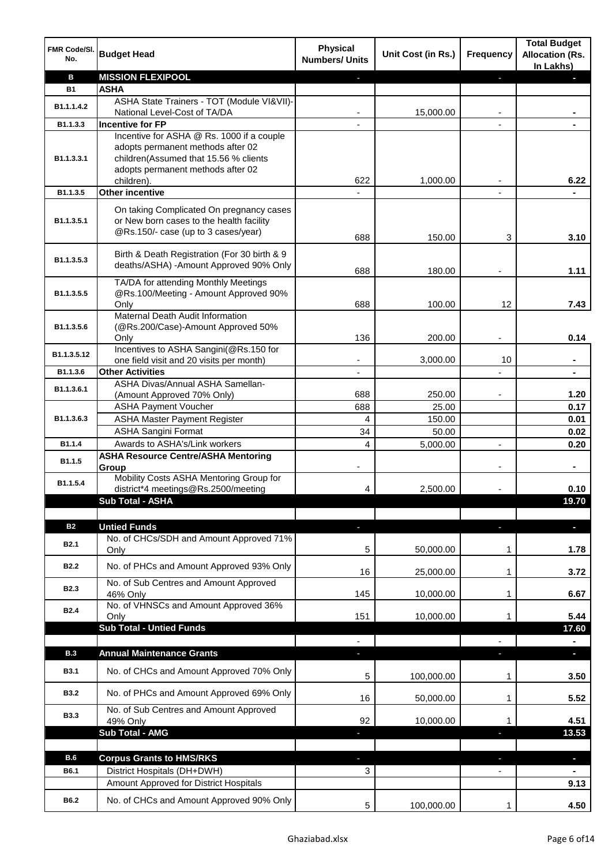| FMR Code/SI.<br>No.     | <b>Budget Head</b>                                                                                                                                           | <b>Physical</b><br><b>Numbers/ Units</b> | Unit Cost (in Rs.) | <b>Frequency</b> | <b>Total Budget</b><br><b>Allocation (Rs.</b><br>In Lakhs) |
|-------------------------|--------------------------------------------------------------------------------------------------------------------------------------------------------------|------------------------------------------|--------------------|------------------|------------------------------------------------------------|
| B                       | <b>MISSION FLEXIPOOL</b>                                                                                                                                     |                                          |                    | r                |                                                            |
| <b>B1</b>               | <b>ASHA</b>                                                                                                                                                  |                                          |                    |                  |                                                            |
| B1.1.1.4.2              | ASHA State Trainers - TOT (Module VI&VII)-                                                                                                                   |                                          |                    |                  |                                                            |
|                         | National Level-Cost of TA/DA                                                                                                                                 |                                          | 15,000.00          |                  |                                                            |
| B1.1.3.3                | <b>Incentive for FP</b>                                                                                                                                      |                                          |                    |                  |                                                            |
| B <sub>1.1</sub> .3.3.1 | Incentive for ASHA @ Rs. 1000 if a couple<br>adopts permanent methods after 02<br>children(Assumed that 15.56 % clients<br>adopts permanent methods after 02 |                                          |                    |                  |                                                            |
|                         | children).                                                                                                                                                   | 622                                      | 1,000.00           |                  | 6.22                                                       |
| B1.1.3.5                | Other incentive                                                                                                                                              |                                          |                    |                  |                                                            |
| B1.1.3.5.1              | On taking Complicated On pregnancy cases<br>or New born cases to the health facility<br>@Rs.150/- case (up to 3 cases/year)                                  | 688                                      | 150.00             | 3                | 3.10                                                       |
|                         | Birth & Death Registration (For 30 birth & 9                                                                                                                 |                                          |                    |                  |                                                            |
| B1.1.3.5.3              | deaths/ASHA) -Amount Approved 90% Only                                                                                                                       |                                          |                    |                  |                                                            |
|                         |                                                                                                                                                              | 688                                      | 180.00             |                  | 1.11                                                       |
|                         | TA/DA for attending Monthly Meetings                                                                                                                         |                                          |                    |                  |                                                            |
| B1.1.3.5.5              | @Rs.100/Meeting - Amount Approved 90%                                                                                                                        |                                          |                    |                  |                                                            |
|                         | Only<br>Maternal Death Audit Information                                                                                                                     | 688                                      | 100.00             | 12               | 7.43                                                       |
| B1.1.3.5.6              | (@Rs.200/Case)-Amount Approved 50%                                                                                                                           |                                          |                    |                  |                                                            |
|                         | Only                                                                                                                                                         | 136                                      | 200.00             |                  | 0.14                                                       |
|                         | Incentives to ASHA Sangini(@Rs.150 for                                                                                                                       |                                          |                    |                  |                                                            |
| B1.1.3.5.12             | one field visit and 20 visits per month)                                                                                                                     | ۰                                        | 3,000.00           | 10               | ۰                                                          |
| B1.1.3.6                | <b>Other Activities</b>                                                                                                                                      | $\overline{\phantom{a}}$                 |                    |                  | $\blacksquare$                                             |
| B1.1.3.6.1              | ASHA Divas/Annual ASHA Samellan-                                                                                                                             |                                          |                    |                  |                                                            |
|                         | (Amount Approved 70% Only)                                                                                                                                   | 688                                      | 250.00             |                  | 1.20                                                       |
|                         | <b>ASHA Payment Voucher</b>                                                                                                                                  | 688                                      | 25.00              |                  | 0.17                                                       |
| B1.1.3.6.3              | <b>ASHA Master Payment Register</b>                                                                                                                          | 4                                        | 150.00             |                  | 0.01                                                       |
|                         | <b>ASHA Sangini Format</b>                                                                                                                                   | 34                                       | 50.00              |                  | 0.02                                                       |
| B1.1.4                  | Awards to ASHA's/Link workers                                                                                                                                | 4                                        | 5,000.00           | $\overline{a}$   | 0.20                                                       |
| B1.1.5                  | <b>ASHA Resource Centre/ASHA Mentoring</b><br>Group                                                                                                          |                                          |                    |                  | $\blacksquare$                                             |
| B1.1.5.4                | Mobility Costs ASHA Mentoring Group for<br>district*4 meetings@Rs.2500/meeting                                                                               | 4                                        | 2,500.00           |                  | 0.10                                                       |
|                         | <b>Sub Total - ASHA</b>                                                                                                                                      |                                          |                    |                  | 19.70                                                      |
|                         |                                                                                                                                                              |                                          |                    |                  |                                                            |
| <b>B2</b>               | <b>Untied Funds</b>                                                                                                                                          | ٠                                        |                    | J,               | $\blacksquare$                                             |
|                         | No. of CHCs/SDH and Amount Approved 71%                                                                                                                      |                                          |                    |                  |                                                            |
| <b>B2.1</b>             | Only                                                                                                                                                         | 5                                        | 50,000.00          | 1                | 1.78                                                       |
| <b>B2.2</b>             | No. of PHCs and Amount Approved 93% Only                                                                                                                     | 16                                       | 25,000.00          | 1                | 3.72                                                       |
| <b>B2.3</b>             | No. of Sub Centres and Amount Approved<br>46% Only                                                                                                           | 145                                      | 10,000.00          | 1                | 6.67                                                       |
| <b>B2.4</b>             | No. of VHNSCs and Amount Approved 36%<br>Only                                                                                                                | 151                                      | 10,000.00          | 1                | 5.44                                                       |
|                         | <b>Sub Total - Untied Funds</b>                                                                                                                              |                                          |                    |                  | 17.60                                                      |
|                         |                                                                                                                                                              |                                          |                    |                  |                                                            |
| <b>B.3</b>              | <b>Annual Maintenance Grants</b>                                                                                                                             |                                          |                    |                  |                                                            |
|                         |                                                                                                                                                              |                                          |                    |                  |                                                            |
| <b>B3.1</b>             | No. of CHCs and Amount Approved 70% Only                                                                                                                     | 5                                        | 100,000.00         | 1                | 3.50                                                       |
| <b>B3.2</b>             | No. of PHCs and Amount Approved 69% Only                                                                                                                     | 16                                       | 50,000.00          | 1                | 5.52                                                       |
| <b>B3.3</b>             | No. of Sub Centres and Amount Approved<br>49% Only                                                                                                           | 92                                       | 10,000.00          | 1                | 4.51                                                       |
|                         | <b>Sub Total - AMG</b>                                                                                                                                       | E.                                       |                    | a,               | 13.53                                                      |
|                         |                                                                                                                                                              |                                          |                    |                  |                                                            |
| <b>B.6</b>              | <b>Corpus Grants to HMS/RKS</b>                                                                                                                              |                                          |                    |                  | $\blacksquare$                                             |
| B6.1                    | District Hospitals (DH+DWH)                                                                                                                                  | 3                                        |                    |                  |                                                            |
|                         | Amount Approved for District Hospitals                                                                                                                       |                                          |                    |                  | 9.13                                                       |
|                         |                                                                                                                                                              |                                          |                    |                  |                                                            |
| B6.2                    | No. of CHCs and Amount Approved 90% Only                                                                                                                     | 5                                        | 100,000.00         | 1                | 4.50                                                       |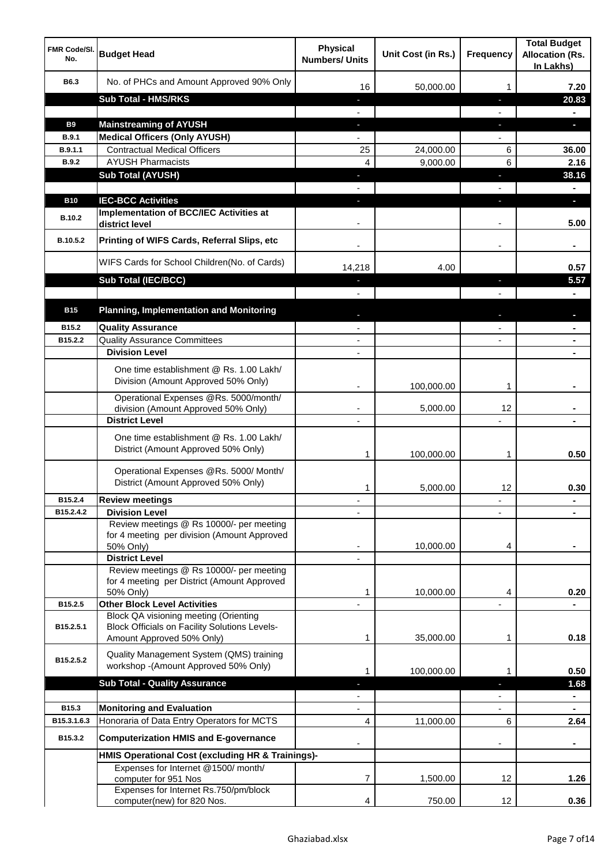| <b>FMR Code/SI.</b><br>No.  | <b>Budget Head</b>                                                                                   | <b>Physical</b><br><b>Numbers/ Units</b> | Unit Cost (in Rs.) | <b>Frequency</b>  | <b>Total Budget</b><br><b>Allocation (Rs.</b><br>In Lakhs) |
|-----------------------------|------------------------------------------------------------------------------------------------------|------------------------------------------|--------------------|-------------------|------------------------------------------------------------|
| B6.3                        | No. of PHCs and Amount Approved 90% Only                                                             | 16                                       | 50,000.00          | 1                 | 7.20                                                       |
|                             | <b>Sub Total - HMS/RKS</b>                                                                           | ٠                                        |                    | J,                | 20.83                                                      |
|                             |                                                                                                      |                                          |                    |                   |                                                            |
| <b>B9</b>                   | <b>Mainstreaming of AYUSH</b>                                                                        | J,                                       |                    | T                 | o.                                                         |
| B.9.1                       | <b>Medical Officers (Only AYUSH)</b>                                                                 |                                          |                    |                   |                                                            |
| B.9.1.1                     | <b>Contractual Medical Officers</b>                                                                  | 25                                       | 24,000.00          | 6                 | 36.00                                                      |
| <b>B.9.2</b>                | <b>AYUSH Pharmacists</b>                                                                             | 4                                        | 9,000.00           | 6                 | 2.16                                                       |
|                             | <b>Sub Total (AYUSH)</b>                                                                             | J,                                       |                    | J,                | 38.16                                                      |
|                             |                                                                                                      |                                          |                    |                   |                                                            |
| <b>B10</b><br><b>B.10.2</b> | <b>IEC-BCC Activities</b><br><b>Implementation of BCC/IEC Activities at</b><br>district level        |                                          |                    | ı.                | н<br>5.00                                                  |
| B.10.5.2                    | Printing of WIFS Cards, Referral Slips, etc                                                          |                                          |                    | $\blacksquare$    |                                                            |
|                             | WIFS Cards for School Children(No. of Cards)                                                         | 14,218                                   | 4.00               |                   | 0.57                                                       |
|                             | Sub Total (IEC/BCC)                                                                                  |                                          |                    | ı                 | 5.57                                                       |
|                             |                                                                                                      |                                          |                    |                   |                                                            |
| <b>B15</b>                  | <b>Planning, Implementation and Monitoring</b>                                                       |                                          |                    |                   |                                                            |
| B15.2                       | <b>Quality Assurance</b>                                                                             |                                          |                    |                   |                                                            |
| B15.2.2                     | <b>Quality Assurance Committees</b>                                                                  | $\overline{\phantom{a}}$                 |                    |                   |                                                            |
|                             | <b>Division Level</b>                                                                                | $\blacksquare$                           |                    |                   | $\blacksquare$                                             |
|                             | One time establishment @ Rs. 1.00 Lakh/<br>Division (Amount Approved 50% Only)                       |                                          | 100,000.00         | 1                 |                                                            |
|                             | Operational Expenses @Rs. 5000/month/<br>division (Amount Approved 50% Only)                         | $\overline{\phantom{a}}$                 | 5,000.00           | 12                |                                                            |
|                             | <b>District Level</b>                                                                                | $\overline{\phantom{a}}$                 |                    |                   |                                                            |
|                             | One time establishment @ Rs. 1.00 Lakh/<br>District (Amount Approved 50% Only)                       | 1                                        | 100,000.00         | 1                 | 0.50                                                       |
|                             | Operational Expenses @Rs. 5000/ Month/<br>District (Amount Approved 50% Only)                        | 1                                        | 5,000.00           | 12                | 0.30                                                       |
| B15.2.4                     | <b>Review meetings</b>                                                                               |                                          |                    | ٠                 |                                                            |
| B15.2.4.2                   | <b>Division Level</b>                                                                                |                                          |                    |                   |                                                            |
|                             | Review meetings @ Rs 10000/- per meeting<br>for 4 meeting per division (Amount Approved<br>50% Only) |                                          | 10,000.00          | 4                 |                                                            |
|                             | <b>District Level</b><br>Review meetings @ Rs 10000/- per meeting                                    |                                          |                    |                   |                                                            |
|                             | for 4 meeting per District (Amount Approved                                                          |                                          |                    |                   |                                                            |
|                             | 50% Only)                                                                                            | 1                                        | 10,000.00          | 4                 | 0.20                                                       |
| B15.2.5                     | <b>Other Block Level Activities</b>                                                                  |                                          |                    |                   |                                                            |
| B15.2.5.1                   | Block QA visioning meeting (Orienting<br><b>Block Officials on Facility Solutions Levels-</b>        |                                          |                    |                   |                                                            |
|                             | Amount Approved 50% Only)                                                                            | 1                                        | 35,000.00          | 1                 | 0.18                                                       |
| B15.2.5.2                   | Quality Management System (QMS) training<br>workshop -(Amount Approved 50% Only)                     | 1                                        | 100,000.00         | 1                 | 0.50                                                       |
|                             | <b>Sub Total - Quality Assurance</b>                                                                 |                                          |                    |                   | 1.68                                                       |
|                             |                                                                                                      |                                          |                    |                   | $\blacksquare$                                             |
| B15.3                       | <b>Monitoring and Evaluation</b>                                                                     |                                          |                    |                   |                                                            |
| B15.3.1.6.3                 | Honoraria of Data Entry Operators for MCTS                                                           | 4                                        | 11,000.00          | 6                 | 2.64                                                       |
| B15.3.2                     | <b>Computerization HMIS and E-governance</b>                                                         |                                          |                    |                   |                                                            |
|                             | HMIS Operational Cost (excluding HR & Trainings)-                                                    |                                          |                    |                   |                                                            |
|                             | Expenses for Internet @1500/month/<br>computer for 951 Nos                                           | 7                                        | 1,500.00           | 12                | 1.26                                                       |
|                             | Expenses for Internet Rs.750/pm/block<br>computer(new) for 820 Nos.                                  | 4                                        | 750.00             | $12 \overline{ }$ | 0.36                                                       |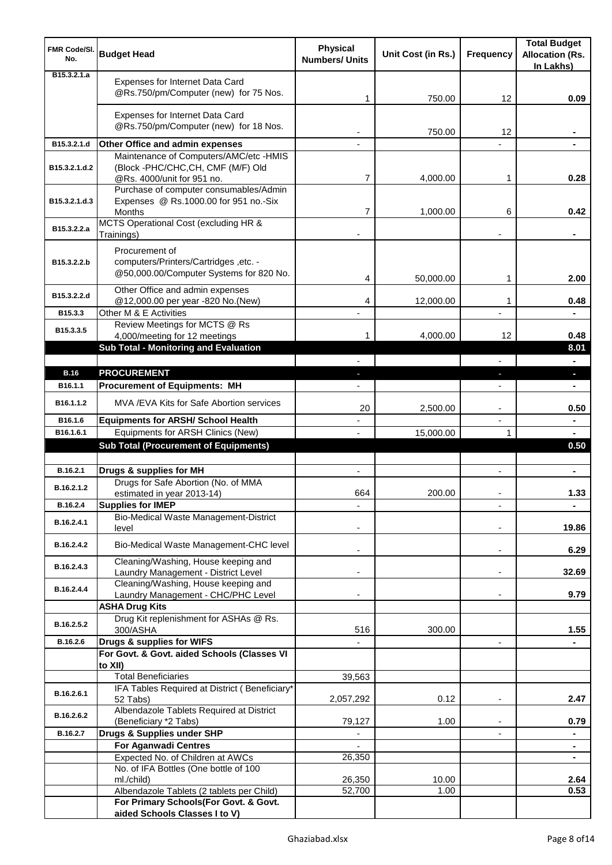| <b>FMR Code/SI.</b><br>No.   | <b>Budget Head</b>                                                                                        | <b>Physical</b><br><b>Numbers/ Units</b> | Unit Cost (in Rs.) | <b>Frequency</b>         | <b>Total Budget</b><br><b>Allocation (Rs.</b><br>In Lakhs) |
|------------------------------|-----------------------------------------------------------------------------------------------------------|------------------------------------------|--------------------|--------------------------|------------------------------------------------------------|
| B <sub>15</sub> , 3, 2, 1, a | Expenses for Internet Data Card<br>@Rs.750/pm/Computer (new) for 75 Nos.                                  | 1                                        | 750.00             | 12                       | 0.09                                                       |
|                              | Expenses for Internet Data Card<br>@Rs.750/pm/Computer (new) for 18 Nos.                                  |                                          | 750.00             | 12                       |                                                            |
| B15.3.2.1.d                  | Other Office and admin expenses                                                                           |                                          |                    |                          |                                                            |
| B15.3.2.1.d.2                | Maintenance of Computers/AMC/etc -HMIS<br>(Block -PHC/CHC,CH, CMF (M/F) Old<br>@Rs. 4000/unit for 951 no. | 7                                        | 4,000.00           | 1                        | 0.28                                                       |
| B15.3.2.1.d.3                | Purchase of computer consumables/Admin<br>Expenses @ Rs.1000.00 for 951 no.-Six<br>Months                 | 7                                        | 1,000.00           | 6                        | 0.42                                                       |
| B15.3.2.2.a                  | MCTS Operational Cost (excluding HR &<br>Trainings)                                                       |                                          |                    |                          |                                                            |
| B15.3.2.2.b                  | Procurement of<br>computers/Printers/Cartridges ,etc. -<br>@50,000.00/Computer Systems for 820 No.        | 4                                        | 50,000.00          | 1                        | 2.00                                                       |
| B15.3.2.2.d                  | Other Office and admin expenses<br>@12,000.00 per year -820 No.(New)                                      | 4                                        | 12,000.00          | 1                        | 0.48                                                       |
| B15.3.3                      | Other M & E Activities<br>Review Meetings for MCTS @ Rs                                                   |                                          |                    |                          |                                                            |
| B15.3.3.5                    | 4,000/meeting for 12 meetings                                                                             | 1                                        | 4,000.00           | 12                       | 0.48                                                       |
|                              | Sub Total - Monitoring and Evaluation                                                                     |                                          |                    |                          | 8.01                                                       |
| <b>B.16</b>                  | <b>PROCUREMENT</b>                                                                                        |                                          |                    | J,                       | a.                                                         |
| B <sub>16.1.1</sub>          | <b>Procurement of Equipments: MH</b>                                                                      |                                          |                    |                          |                                                            |
| B16.1.1.2                    | MVA / EVA Kits for Safe Abortion services                                                                 | 20                                       | 2,500.00           | $\overline{\phantom{a}}$ | 0.50                                                       |
| B16.1.6                      | <b>Equipments for ARSH/ School Health</b>                                                                 |                                          |                    | $\overline{a}$           | ۰                                                          |
| B16.1.6.1                    | Equipments for ARSH Clinics (New)                                                                         |                                          | 15,000.00          | 1                        | $\blacksquare$                                             |
|                              | <b>Sub Total (Procurement of Equipments)</b>                                                              |                                          |                    |                          | 0.50                                                       |
| B.16.2.1                     | Drugs & supplies for MH                                                                                   | $\blacksquare$                           |                    | $\blacksquare$           | ٠                                                          |
| B.16.2.1.2                   | Drugs for Safe Abortion (No. of MMA<br>estimated in year 2013-14)                                         | 664                                      | 200.00             |                          | 1.33                                                       |
| B.16.2.4                     | <b>Supplies for IMEP</b>                                                                                  |                                          |                    |                          | ۰                                                          |
| B.16.2.4.1                   | Bio-Medical Waste Management-District<br>level                                                            |                                          |                    |                          | 19.86                                                      |
| B.16.2.4.2                   | Bio-Medical Waste Management-CHC level                                                                    |                                          |                    | $\overline{\phantom{a}}$ | 6.29                                                       |
| B.16.2.4.3                   | Cleaning/Washing, House keeping and<br>Laundry Management - District Level                                |                                          |                    | $\blacksquare$           | 32.69                                                      |
| B.16.2.4.4                   | Cleaning/Washing, House keeping and<br>Laundry Management - CHC/PHC Level                                 |                                          |                    |                          | 9.79                                                       |
|                              | <b>ASHA Drug Kits</b>                                                                                     |                                          |                    |                          |                                                            |
| B.16.2.5.2                   | Drug Kit replenishment for ASHAs @ Rs.<br>300/ASHA                                                        | 516                                      | 300.00             |                          | 1.55                                                       |
| B.16.2.6                     | Drugs & supplies for WIFS                                                                                 |                                          |                    | $\overline{\phantom{a}}$ |                                                            |
|                              | For Govt. & Govt. aided Schools (Classes VI<br>to XII)                                                    |                                          |                    |                          |                                                            |
|                              | <b>Total Beneficiaries</b>                                                                                | 39,563                                   |                    |                          |                                                            |
| B.16.2.6.1                   | IFA Tables Required at District (Beneficiary*<br>52 Tabs)                                                 | 2,057,292                                | 0.12               | ٠                        | 2.47                                                       |
| B.16.2.6.2                   | Albendazole Tablets Required at District<br>(Beneficiary *2 Tabs)                                         | 79,127                                   | 1.00               |                          | 0.79                                                       |
| B.16.2.7                     | Drugs & Supplies under SHP                                                                                |                                          |                    |                          | ۰                                                          |
|                              | <b>For Aganwadi Centres</b>                                                                               |                                          |                    |                          | $\blacksquare$                                             |
|                              | Expected No. of Children at AWCs                                                                          | 26,350                                   |                    |                          | $\blacksquare$                                             |
|                              | No. of IFA Bottles (One bottle of 100<br>ml./child)                                                       | 26,350                                   | 10.00              |                          | 2.64                                                       |
|                              | Albendazole Tablets (2 tablets per Child)                                                                 | 52,700                                   | 1.00               |                          | 0.53                                                       |
|                              | For Primary Schools(For Govt. & Govt.<br>aided Schools Classes I to V)                                    |                                          |                    |                          |                                                            |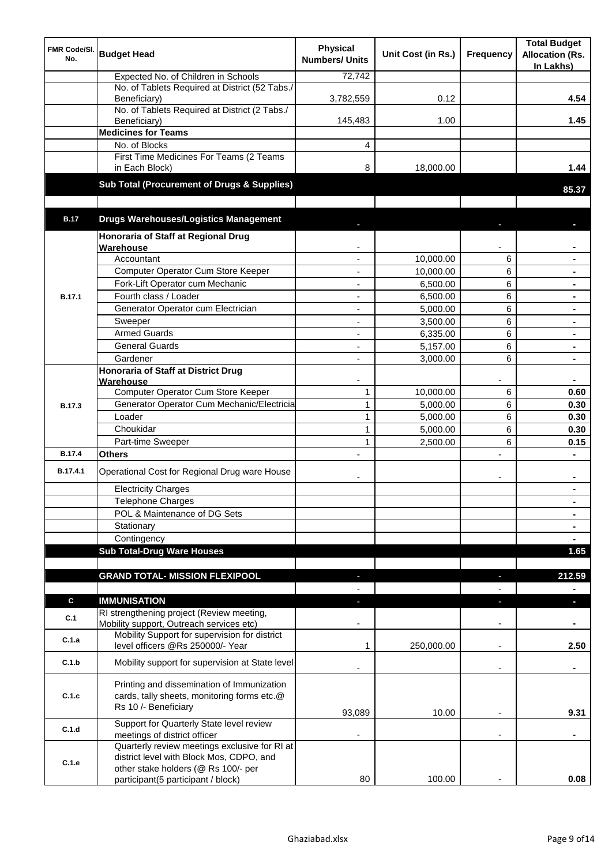| FMR Code/SI.<br>No. | <b>Budget Head</b>                                                                                                | <b>Physical</b><br><b>Numbers/ Units</b> | Unit Cost (in Rs.) | Frequency                | <b>Total Budget</b><br><b>Allocation (Rs.</b><br>In Lakhs) |
|---------------------|-------------------------------------------------------------------------------------------------------------------|------------------------------------------|--------------------|--------------------------|------------------------------------------------------------|
|                     | Expected No. of Children in Schools                                                                               | 72,742                                   |                    |                          |                                                            |
|                     | No. of Tablets Required at District (52 Tabs./<br>Beneficiary)                                                    | 3,782,559                                | 0.12               |                          | 4.54                                                       |
|                     | No. of Tablets Required at District (2 Tabs./<br>Beneficiary)                                                     | 145,483                                  | 1.00               |                          | 1.45                                                       |
|                     | <b>Medicines for Teams</b>                                                                                        |                                          |                    |                          |                                                            |
|                     | No. of Blocks                                                                                                     | 4                                        |                    |                          |                                                            |
|                     | First Time Medicines For Teams (2 Teams<br>in Each Block)                                                         | 8                                        | 18,000.00          |                          | 1.44                                                       |
|                     | Sub Total (Procurement of Drugs & Supplies)                                                                       |                                          |                    |                          | 85.37                                                      |
|                     |                                                                                                                   |                                          |                    |                          |                                                            |
| <b>B.17</b>         | <b>Drugs Warehouses/Logistics Management</b><br>Honoraria of Staff at Regional Drug                               |                                          |                    |                          |                                                            |
|                     | Warehouse                                                                                                         |                                          |                    |                          |                                                            |
|                     | Accountant                                                                                                        |                                          | 10,000.00          | 6                        |                                                            |
|                     | Computer Operator Cum Store Keeper                                                                                |                                          | 10,000.00          | 6                        |                                                            |
|                     | Fork-Lift Operator cum Mechanic                                                                                   |                                          | 6,500.00           | 6                        |                                                            |
| <b>B.17.1</b>       | Fourth class / Loader                                                                                             |                                          | 6,500.00           | 6                        |                                                            |
|                     |                                                                                                                   |                                          |                    |                          |                                                            |
|                     | Generator Operator cum Electrician                                                                                | ٠                                        | 5,000.00           | 6                        |                                                            |
|                     | Sweeper                                                                                                           | ٠                                        | 3,500.00           | 6                        | $\blacksquare$                                             |
|                     | <b>Armed Guards</b>                                                                                               | $\overline{\phantom{a}}$                 | 6,335.00           | 6                        | $\blacksquare$                                             |
|                     | <b>General Guards</b>                                                                                             | ÷,                                       | 5,157.00           | 6                        |                                                            |
|                     | Gardener                                                                                                          | ÷,                                       | 3,000.00           | 6                        | $\blacksquare$                                             |
|                     | Honoraria of Staff at District Drug<br>Warehouse                                                                  |                                          |                    |                          |                                                            |
|                     | Computer Operator Cum Store Keeper                                                                                | $\mathbf{1}$                             | 10,000.00          | 6                        | 0.60                                                       |
| <b>B.17.3</b>       | Generator Operator Cum Mechanic/Electricia                                                                        | $\mathbf{1}$                             | 5,000.00           | 6                        | 0.30                                                       |
|                     | Loader                                                                                                            | $\mathbf{1}$                             | 5,000.00           | 6                        | 0.30                                                       |
|                     | Choukidar                                                                                                         | $\mathbf{1}$                             | 5,000.00           | 6                        | 0.30                                                       |
|                     | Part-time Sweeper                                                                                                 | 1                                        | 2,500.00           | 6                        | 0.15                                                       |
| <b>B.17.4</b>       | <b>Others</b>                                                                                                     |                                          |                    | L.                       |                                                            |
| B.17.4.1            | Operational Cost for Regional Drug ware House                                                                     |                                          |                    | ۰                        | ٠                                                          |
|                     | <b>Electricity Charges</b>                                                                                        |                                          |                    |                          | $\blacksquare$                                             |
|                     |                                                                                                                   |                                          |                    |                          |                                                            |
|                     | Telephone Charges                                                                                                 |                                          |                    |                          | $\blacksquare$                                             |
|                     | POL & Maintenance of DG Sets                                                                                      |                                          |                    |                          | $\blacksquare$                                             |
|                     | Stationary                                                                                                        |                                          |                    |                          | $\blacksquare$                                             |
|                     | Contingency                                                                                                       |                                          |                    |                          | $\blacksquare$                                             |
|                     | <b>Sub Total-Drug Ware Houses</b>                                                                                 |                                          |                    |                          | 1.65                                                       |
|                     | <b>GRAND TOTAL- MISSION FLEXIPOOL</b>                                                                             | E.                                       |                    |                          | 212.59                                                     |
|                     |                                                                                                                   |                                          |                    |                          | $\blacksquare$                                             |
| $\mathbf c$         | <b>IMMUNISATION</b><br>RI strengthening project (Review meeting,                                                  |                                          |                    |                          | н                                                          |
| C.1                 | Mobility support, Outreach services etc)                                                                          |                                          |                    |                          |                                                            |
| C.1.a               | Mobility Support for supervision for district<br>level officers @Rs 250000/- Year                                 | 1                                        | 250,000.00         |                          | 2.50                                                       |
| C.1.b               | Mobility support for supervision at State level                                                                   |                                          |                    | $\overline{\phantom{a}}$ | ٠                                                          |
| C.1.c               | Printing and dissemination of Immunization<br>cards, tally sheets, monitoring forms etc.@<br>Rs 10 /- Beneficiary | 93,089                                   | 10.00              |                          | 9.31                                                       |
|                     | Support for Quarterly State level review                                                                          |                                          |                    |                          |                                                            |
| C.1.d               | meetings of district officer                                                                                      |                                          |                    |                          |                                                            |
| C.1.e               | Quarterly review meetings exclusive for RI at<br>district level with Block Mos, CDPO, and                         |                                          |                    |                          |                                                            |
|                     | other stake holders (@ Rs 100/- per                                                                               |                                          |                    |                          |                                                            |
|                     | participant(5 participant / block)                                                                                | 80                                       | 100.00             |                          | 0.08                                                       |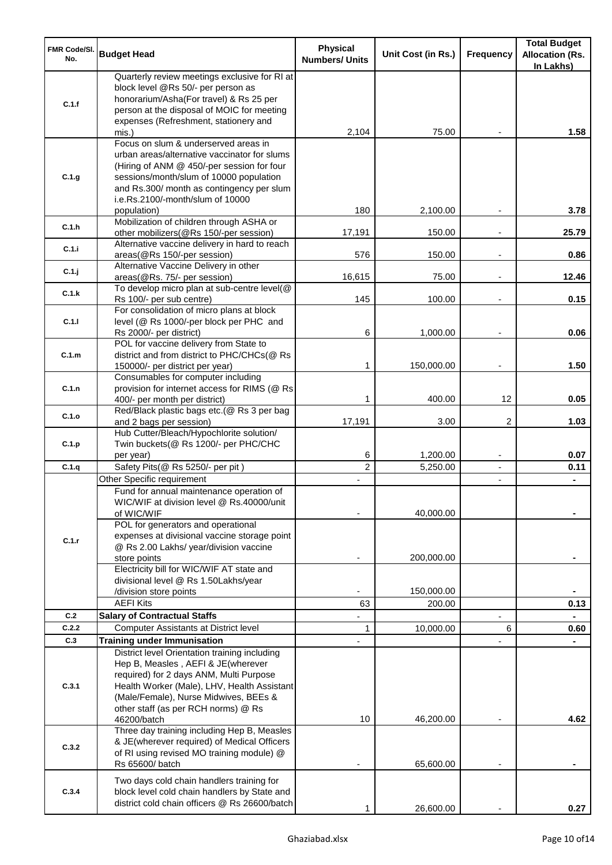| <b>FMR Code/SI.</b><br>No. | <b>Budget Head</b>                                                                                                                                                                                                                                                           | <b>Physical</b><br><b>Numbers/ Units</b> | Unit Cost (in Rs.)   | Frequency                                  | <b>Total Budget</b><br><b>Allocation (Rs.</b><br>In Lakhs) |
|----------------------------|------------------------------------------------------------------------------------------------------------------------------------------------------------------------------------------------------------------------------------------------------------------------------|------------------------------------------|----------------------|--------------------------------------------|------------------------------------------------------------|
| C.1.f                      | Quarterly review meetings exclusive for RI at<br>block level @Rs 50/- per person as<br>honorarium/Asha(For travel) & Rs 25 per<br>person at the disposal of MOIC for meeting<br>expenses (Refreshment, stationery and                                                        |                                          |                      |                                            |                                                            |
|                            | mis.)                                                                                                                                                                                                                                                                        | 2,104                                    | 75.00                |                                            | 1.58                                                       |
| C.1.g                      | Focus on slum & underserved areas in<br>urban areas/alternative vaccinator for slums<br>(Hiring of ANM @ 450/-per session for four<br>sessions/month/slum of 10000 population<br>and Rs.300/ month as contingency per slum<br>i.e.Rs.2100/-month/slum of 10000               |                                          |                      |                                            |                                                            |
| C.1.h                      | population)<br>Mobilization of children through ASHA or<br>other mobilizers(@Rs 150/-per session)                                                                                                                                                                            | 180<br>17,191                            | 2,100.00<br>150.00   |                                            | 3.78<br>25.79                                              |
| C.1.i                      | Alternative vaccine delivery in hard to reach<br>areas(@Rs 150/-per session)                                                                                                                                                                                                 | 576                                      | 150.00               | $\overline{\phantom{a}}$                   | 0.86                                                       |
| C.1.j                      | Alternative Vaccine Delivery in other<br>areas(@Rs. 75/- per session)                                                                                                                                                                                                        | 16,615                                   | 75.00                | $\overline{\phantom{a}}$                   | 12.46                                                      |
|                            | To develop micro plan at sub-centre level(@                                                                                                                                                                                                                                  |                                          |                      |                                            |                                                            |
| C.1.k                      | Rs 100/- per sub centre)                                                                                                                                                                                                                                                     | 145                                      | 100.00               |                                            | 0.15                                                       |
| C.1.1                      | For consolidation of micro plans at block<br>level (@ Rs 1000/-per block per PHC and<br>Rs 2000/- per district)                                                                                                                                                              | 6                                        | 1,000.00             |                                            | 0.06                                                       |
|                            | POL for vaccine delivery from State to                                                                                                                                                                                                                                       |                                          |                      |                                            |                                                            |
| C.1.m                      | district and from district to PHC/CHCs(@ Rs<br>150000/- per district per year)                                                                                                                                                                                               | 1                                        | 150,000.00           | $\overline{\phantom{a}}$                   | 1.50                                                       |
| C.1.n                      | Consumables for computer including<br>provision for internet access for RIMS (@ Rs<br>400/- per month per district)                                                                                                                                                          | 1                                        | 400.00               | 12                                         | 0.05                                                       |
| C.1.o                      | Red/Black plastic bags etc.(@ Rs 3 per bag<br>and 2 bags per session)                                                                                                                                                                                                        | 17,191                                   | 3.00                 | 2                                          | 1.03                                                       |
| C.1.p                      | Hub Cutter/Bleach/Hypochlorite solution/<br>Twin buckets(@ Rs 1200/- per PHC/CHC                                                                                                                                                                                             | 6                                        |                      |                                            | 0.07                                                       |
| C.1.q                      | per year)<br>Safety Pits(@ Rs 5250/- per pit)                                                                                                                                                                                                                                | $\overline{2}$                           | 1,200.00<br>5,250.00 | $\overline{\phantom{a}}$<br>$\blacksquare$ | 0.11                                                       |
|                            | Other Specific requirement                                                                                                                                                                                                                                                   |                                          |                      | $\blacksquare$                             |                                                            |
|                            | Fund for annual maintenance operation of<br>WIC/WIF at division level @ Rs.40000/unit<br>of WIC/WIF<br>POL for generators and operational                                                                                                                                    |                                          | 40,000.00            |                                            |                                                            |
| C.1.r                      | expenses at divisional vaccine storage point<br>@ Rs 2.00 Lakhs/ year/division vaccine<br>store points                                                                                                                                                                       |                                          | 200,000.00           |                                            |                                                            |
|                            | Electricity bill for WIC/WIF AT state and<br>divisional level @ Rs 1.50Lakhs/year                                                                                                                                                                                            |                                          |                      |                                            |                                                            |
|                            | /division store points                                                                                                                                                                                                                                                       |                                          | 150,000.00           |                                            |                                                            |
|                            | <b>AEFI Kits</b>                                                                                                                                                                                                                                                             | 63                                       | 200.00               |                                            | 0.13                                                       |
| C.2                        | <b>Salary of Contractual Staffs</b>                                                                                                                                                                                                                                          |                                          |                      |                                            |                                                            |
| C.2.2                      | Computer Assistants at District level                                                                                                                                                                                                                                        | 1                                        | 10,000.00            | 6                                          | 0.60                                                       |
| C.3                        | <b>Training under Immunisation</b>                                                                                                                                                                                                                                           |                                          |                      |                                            |                                                            |
| C.3.1                      | District level Orientation training including<br>Hep B, Measles, AEFI & JE(wherever<br>required) for 2 days ANM, Multi Purpose<br>Health Worker (Male), LHV, Health Assistant<br>(Male/Female), Nurse Midwives, BEEs &<br>other staff (as per RCH norms) @ Rs<br>46200/batch | 10                                       | 46,200.00            |                                            | 4.62                                                       |
| C.3.2                      | Three day training including Hep B, Measles<br>& JE(wherever required) of Medical Officers<br>of RI using revised MO training module) @<br>Rs 65600/ batch                                                                                                                   |                                          | 65,600.00            |                                            |                                                            |
| C.3.4                      | Two days cold chain handlers training for<br>block level cold chain handlers by State and<br>district cold chain officers @ Rs 26600/batch                                                                                                                                   |                                          | 26,600.00            |                                            | 0.27                                                       |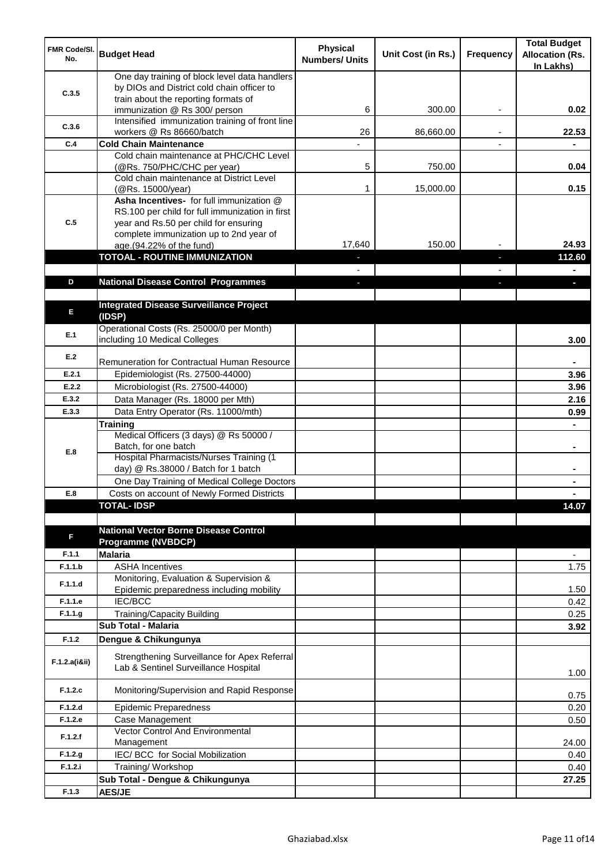| FMR Code/SI.<br>No. | <b>Budget Head</b>                                                                                                                  | <b>Physical</b><br><b>Numbers/ Units</b> | Unit Cost (in Rs.) | <b>Frequency</b>         | <b>Total Budget</b><br><b>Allocation (Rs.</b><br>In Lakhs) |
|---------------------|-------------------------------------------------------------------------------------------------------------------------------------|------------------------------------------|--------------------|--------------------------|------------------------------------------------------------|
| C.3.5               | One day training of block level data handlers<br>by DIOs and District cold chain officer to<br>train about the reporting formats of |                                          |                    |                          |                                                            |
|                     | immunization @ Rs 300/ person                                                                                                       | 6                                        | 300.00             |                          | 0.02                                                       |
| C.3.6               | Intensified immunization training of front line<br>workers @ Rs 86660/batch                                                         | 26                                       | 86,660.00          | $\overline{\phantom{a}}$ | 22.53                                                      |
| C.4                 | <b>Cold Chain Maintenance</b>                                                                                                       |                                          |                    |                          |                                                            |
|                     | Cold chain maintenance at PHC/CHC Level                                                                                             |                                          |                    |                          |                                                            |
|                     | (@Rs. 750/PHC/CHC per year)                                                                                                         | 5                                        | 750.00             |                          | 0.04                                                       |
|                     | Cold chain maintenance at District Level<br>(@Rs. 15000/year)                                                                       | 1                                        | 15,000.00          |                          | 0.15                                                       |
|                     | Asha Incentives- for full immunization @<br>RS.100 per child for full immunization in first                                         |                                          |                    |                          |                                                            |
| C.5                 | year and Rs.50 per child for ensuring<br>complete immunization up to 2nd year of                                                    |                                          |                    |                          |                                                            |
|                     | age.(94.22% of the fund)                                                                                                            | 17,640                                   | 150.00             |                          | 24.93                                                      |
|                     | <b>TOTOAL - ROUTINE IMMUNIZATION</b>                                                                                                |                                          |                    |                          | 112.60                                                     |
|                     |                                                                                                                                     |                                          |                    |                          |                                                            |
| D                   | <b>National Disease Control Programmes</b>                                                                                          |                                          |                    |                          |                                                            |
|                     | <b>Integrated Disease Surveillance Project</b>                                                                                      |                                          |                    |                          |                                                            |
| Е                   | (IDSP)                                                                                                                              |                                          |                    |                          |                                                            |
| E.1                 | Operational Costs (Rs. 25000/0 per Month)<br>including 10 Medical Colleges                                                          |                                          |                    |                          | 3.00                                                       |
| E.2                 | Remuneration for Contractual Human Resource                                                                                         |                                          |                    |                          |                                                            |
| E.2.1               | Epidemiologist (Rs. 27500-44000)                                                                                                    |                                          |                    |                          | 3.96                                                       |
| E.2.2               | Microbiologist (Rs. 27500-44000)                                                                                                    |                                          |                    |                          | 3.96                                                       |
| E.3.2               | Data Manager (Rs. 18000 per Mth)                                                                                                    |                                          |                    |                          | 2.16                                                       |
| E.3.3               | Data Entry Operator (Rs. 11000/mth)                                                                                                 |                                          |                    |                          | 0.99                                                       |
|                     | <b>Training</b>                                                                                                                     |                                          |                    |                          |                                                            |
|                     | Medical Officers (3 days) @ Rs 50000 /<br>Batch, for one batch                                                                      |                                          |                    |                          | $\blacksquare$                                             |
| E.8                 | <b>Hospital Pharmacists/Nurses Training (1)</b>                                                                                     |                                          |                    |                          |                                                            |
|                     | day) @ Rs.38000 / Batch for 1 batch                                                                                                 |                                          |                    |                          |                                                            |
|                     | One Day Training of Medical College Doctors                                                                                         |                                          |                    |                          |                                                            |
| E.8                 | Costs on account of Newly Formed Districts<br><b>TOTAL-IDSP</b>                                                                     |                                          |                    |                          | 14.07                                                      |
|                     |                                                                                                                                     |                                          |                    |                          |                                                            |
| F                   | <b>National Vector Borne Disease Control</b><br><b>Programme (NVBDCP)</b>                                                           |                                          |                    |                          |                                                            |
| F.1.1               | <b>Malaria</b>                                                                                                                      |                                          |                    |                          | ٠                                                          |
| F.1.1.b             | <b>ASHA Incentives</b>                                                                                                              |                                          |                    |                          | 1.75                                                       |
| F.1.1.d             | Monitoring, Evaluation & Supervision &<br>Epidemic preparedness including mobility                                                  |                                          |                    |                          | 1.50                                                       |
| F.1.1.e             | <b>IEC/BCC</b>                                                                                                                      |                                          |                    |                          | 0.42                                                       |
| F.1.1.g             | Training/Capacity Building                                                                                                          |                                          |                    |                          | 0.25                                                       |
|                     | Sub Total - Malaria                                                                                                                 |                                          |                    |                          | 3.92                                                       |
| F.1.2               | Dengue & Chikungunya                                                                                                                |                                          |                    |                          |                                                            |
| F.1.2.a(iⅈ)         | Strengthening Surveillance for Apex Referral<br>Lab & Sentinel Surveillance Hospital                                                |                                          |                    |                          | 1.00                                                       |
| F.1.2.c             | Monitoring/Supervision and Rapid Response                                                                                           |                                          |                    |                          | 0.75                                                       |
| F.1.2.d             | <b>Epidemic Preparedness</b>                                                                                                        |                                          |                    |                          | 0.20                                                       |
| F.1.2.e             | Case Management<br>Vector Control And Environmental                                                                                 |                                          |                    |                          | 0.50                                                       |
| F.1.2.f             | Management                                                                                                                          |                                          |                    |                          | 24.00                                                      |
| F.1.2.g             | IEC/BCC for Social Mobilization                                                                                                     |                                          |                    |                          | 0.40                                                       |
| F.1.2.i             | Training/Workshop                                                                                                                   |                                          |                    |                          | 0.40                                                       |
|                     | Sub Total - Dengue & Chikungunya                                                                                                    |                                          |                    |                          | 27.25                                                      |
| F.1.3               | <b>AES/JE</b>                                                                                                                       |                                          |                    |                          |                                                            |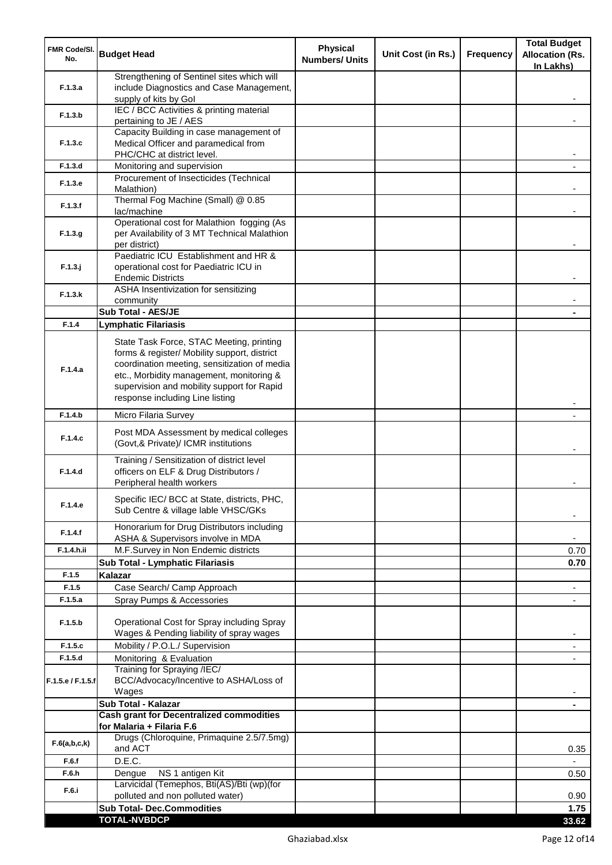| FMR Code/SI.<br>No. | <b>Budget Head</b>                                                                                                                                                                                                                                                    | <b>Physical</b><br><b>Numbers/ Units</b> | Unit Cost (in Rs.) | Frequency | <b>Total Budget</b><br><b>Allocation (Rs.</b><br>In Lakhs) |
|---------------------|-----------------------------------------------------------------------------------------------------------------------------------------------------------------------------------------------------------------------------------------------------------------------|------------------------------------------|--------------------|-----------|------------------------------------------------------------|
| F.1.3.a             | Strengthening of Sentinel sites which will<br>include Diagnostics and Case Management,<br>supply of kits by Gol                                                                                                                                                       |                                          |                    |           |                                                            |
| F.1.3.b             | IEC / BCC Activities & printing material<br>pertaining to JE / AES                                                                                                                                                                                                    |                                          |                    |           |                                                            |
|                     | Capacity Building in case management of                                                                                                                                                                                                                               |                                          |                    |           |                                                            |
| F.1.3.c             | Medical Officer and paramedical from<br>PHC/CHC at district level.                                                                                                                                                                                                    |                                          |                    |           |                                                            |
| F.1.3.d             | Monitoring and supervision<br>Procurement of Insecticides (Technical                                                                                                                                                                                                  |                                          |                    |           |                                                            |
| F.1.3.e             | Malathion)<br>Thermal Fog Machine (Small) @ 0.85                                                                                                                                                                                                                      |                                          |                    |           |                                                            |
| F.1.3.f             | lac/machine                                                                                                                                                                                                                                                           |                                          |                    |           |                                                            |
| F.1.3.g             | Operational cost for Malathion fogging (As<br>per Availability of 3 MT Technical Malathion<br>per district)                                                                                                                                                           |                                          |                    |           |                                                            |
| $F.1.3.$ j          | Paediatric ICU Establishment and HR &<br>operational cost for Paediatric ICU in<br><b>Endemic Districts</b>                                                                                                                                                           |                                          |                    |           |                                                            |
| F.1.3.k             | ASHA Insentivization for sensitizing<br>community                                                                                                                                                                                                                     |                                          |                    |           |                                                            |
|                     | <b>Sub Total - AES/JE</b>                                                                                                                                                                                                                                             |                                          |                    |           |                                                            |
| F.1.4               | <b>Lymphatic Filariasis</b>                                                                                                                                                                                                                                           |                                          |                    |           |                                                            |
| F.1.4.a             | State Task Force, STAC Meeting, printing<br>forms & register/ Mobility support, district<br>coordination meeting, sensitization of media<br>etc., Morbidity management, monitoring &<br>supervision and mobility support for Rapid<br>response including Line listing |                                          |                    |           |                                                            |
| F.1.4.b             | Micro Filaria Survey                                                                                                                                                                                                                                                  |                                          |                    |           |                                                            |
| F.1.4.c             | Post MDA Assessment by medical colleges<br>(Govt,& Private)/ ICMR institutions                                                                                                                                                                                        |                                          |                    |           |                                                            |
| F.1.4.d             | Training / Sensitization of district level<br>officers on ELF & Drug Distributors /<br>Peripheral health workers                                                                                                                                                      |                                          |                    |           |                                                            |
| F.1.4.e             | Specific IEC/ BCC at State, districts, PHC,<br>Sub Centre & village lable VHSC/GKs                                                                                                                                                                                    |                                          |                    |           |                                                            |
| F.1.4.f             | Honorarium for Drug Distributors including<br>ASHA & Supervisors involve in MDA                                                                                                                                                                                       |                                          |                    |           | $\blacksquare$                                             |
| F.1.4.h.ii          | M.F.Survey in Non Endemic districts                                                                                                                                                                                                                                   |                                          |                    |           | 0.70                                                       |
|                     | Sub Total - Lymphatic Filariasis                                                                                                                                                                                                                                      |                                          |                    |           | 0.70                                                       |
| F.1.5               | Kalazar                                                                                                                                                                                                                                                               |                                          |                    |           |                                                            |
| F.1.5               | Case Search/ Camp Approach                                                                                                                                                                                                                                            |                                          |                    |           | $\overline{\phantom{a}}$                                   |
| F.1.5.a             | Spray Pumps & Accessories                                                                                                                                                                                                                                             |                                          |                    |           | $\blacksquare$                                             |
| F.1.5.b             | Operational Cost for Spray including Spray<br>Wages & Pending liability of spray wages                                                                                                                                                                                |                                          |                    |           |                                                            |
| F.1.5.c             | Mobility / P.O.L./ Supervision                                                                                                                                                                                                                                        |                                          |                    |           |                                                            |
| F.1.5.d             | Monitoring & Evaluation<br>Training for Spraying /IEC/                                                                                                                                                                                                                |                                          |                    |           |                                                            |
| F.1.5.e / F.1.5.f   | BCC/Advocacy/Incentive to ASHA/Loss of<br>Wages                                                                                                                                                                                                                       |                                          |                    |           |                                                            |
|                     | Sub Total - Kalazar                                                                                                                                                                                                                                                   |                                          |                    |           | ٠                                                          |
|                     | <b>Cash grant for Decentralized commodities</b><br>for Malaria + Filaria F.6                                                                                                                                                                                          |                                          |                    |           |                                                            |
| F.6(a,b,c,k)        | Drugs (Chloroquine, Primaquine 2.5/7.5mg)<br>and ACT                                                                                                                                                                                                                  |                                          |                    |           | 0.35                                                       |
| F.6.f               | D.E.C.                                                                                                                                                                                                                                                                |                                          |                    |           |                                                            |
| F.6.h               | NS 1 antigen Kit<br>Dengue                                                                                                                                                                                                                                            |                                          |                    |           | 0.50                                                       |
| F.6.i               | Larvicidal (Temephos, Bti(AS)/Bti (wp)(for<br>polluted and non polluted water)                                                                                                                                                                                        |                                          |                    |           | 0.90                                                       |
|                     | <b>Sub Total- Dec.Commodities</b>                                                                                                                                                                                                                                     |                                          |                    |           | 1.75                                                       |
|                     | <b>TOTAL-NVBDCP</b>                                                                                                                                                                                                                                                   |                                          |                    |           | 33.62                                                      |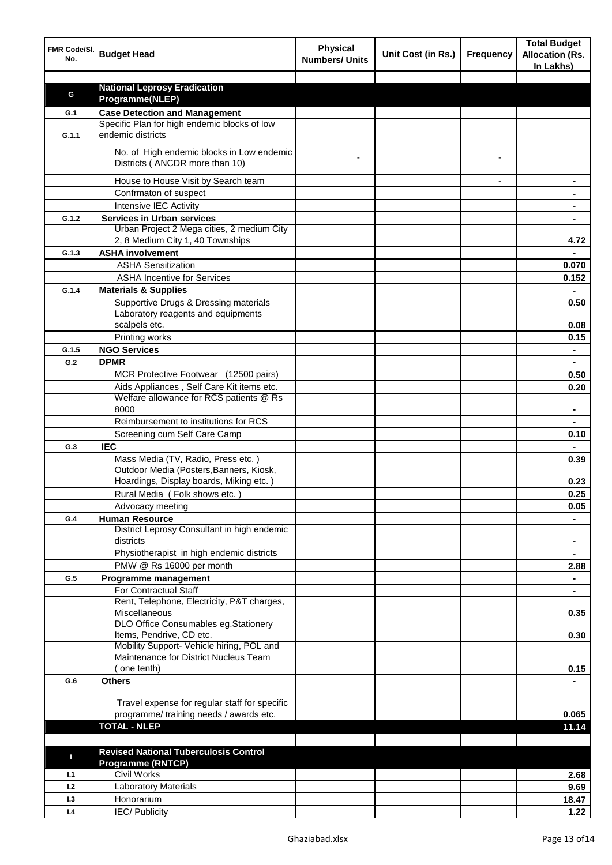| FMR Code/SI.<br>No. | <b>Budget Head</b>                                                                   | <b>Physical</b><br><b>Numbers/ Units</b> | Unit Cost (in Rs.) | <b>Frequency</b> | <b>Total Budget</b><br><b>Allocation (Rs.</b><br>In Lakhs) |
|---------------------|--------------------------------------------------------------------------------------|------------------------------------------|--------------------|------------------|------------------------------------------------------------|
|                     |                                                                                      |                                          |                    |                  |                                                            |
| G                   | <b>National Leprosy Eradication</b>                                                  |                                          |                    |                  |                                                            |
|                     | Programme(NLEP)                                                                      |                                          |                    |                  |                                                            |
| G.1                 | <b>Case Detection and Management</b><br>Specific Plan for high endemic blocks of low |                                          |                    |                  |                                                            |
| G.1.1               | endemic districts                                                                    |                                          |                    |                  |                                                            |
|                     | No. of High endemic blocks in Low endemic<br>Districts (ANCDR more than 10)          |                                          |                    |                  |                                                            |
|                     |                                                                                      |                                          |                    |                  |                                                            |
|                     | House to House Visit by Search team                                                  |                                          |                    |                  |                                                            |
|                     | Confrmaton of suspect                                                                |                                          |                    |                  |                                                            |
|                     | Intensive IEC Activity                                                               |                                          |                    |                  |                                                            |
| G.1.2               | <b>Services in Urban services</b><br>Urban Project 2 Mega cities, 2 medium City      |                                          |                    |                  |                                                            |
|                     | 2, 8 Medium City 1, 40 Townships                                                     |                                          |                    |                  | 4.72                                                       |
| G.1.3               | <b>ASHA involvement</b>                                                              |                                          |                    |                  |                                                            |
|                     | <b>ASHA Sensitization</b>                                                            |                                          |                    |                  | 0.070                                                      |
|                     | <b>ASHA Incentive for Services</b>                                                   |                                          |                    |                  | 0.152                                                      |
| G.1.4               | <b>Materials &amp; Supplies</b>                                                      |                                          |                    |                  |                                                            |
|                     | Supportive Drugs & Dressing materials                                                |                                          |                    |                  | 0.50                                                       |
|                     | Laboratory reagents and equipments                                                   |                                          |                    |                  |                                                            |
|                     | scalpels etc.                                                                        |                                          |                    |                  | 0.08                                                       |
|                     | Printing works                                                                       |                                          |                    |                  | 0.15                                                       |
| G.1.5               | <b>NGO Services</b>                                                                  |                                          |                    |                  | $\blacksquare$                                             |
| G.2                 | <b>DPMR</b>                                                                          |                                          |                    |                  | $\blacksquare$                                             |
|                     | MCR Protective Footwear (12500 pairs)                                                |                                          |                    |                  | 0.50                                                       |
|                     | Aids Appliances, Self Care Kit items etc.                                            |                                          |                    |                  | 0.20                                                       |
|                     | Welfare allowance for RCS patients @ Rs                                              |                                          |                    |                  |                                                            |
|                     | 8000                                                                                 |                                          |                    |                  |                                                            |
|                     | Reimbursement to institutions for RCS                                                |                                          |                    |                  |                                                            |
|                     | Screening cum Self Care Camp                                                         |                                          |                    |                  | 0.10                                                       |
| G.3                 | <b>IEC</b>                                                                           |                                          |                    |                  |                                                            |
|                     | Mass Media (TV, Radio, Press etc.)                                                   |                                          |                    |                  | 0.39                                                       |
|                     | Outdoor Media (Posters, Banners, Kiosk,                                              |                                          |                    |                  |                                                            |
|                     | Hoardings, Display boards, Miking etc.)                                              |                                          |                    |                  | 0.23                                                       |
|                     | Rural Media (Folk shows etc.)                                                        |                                          |                    |                  | 0.25                                                       |
|                     | Advocacy meeting                                                                     |                                          |                    |                  | 0.05                                                       |
| G.4                 | <b>Human Resource</b><br>District Leprosy Consultant in high endemic                 |                                          |                    |                  |                                                            |
|                     | districts                                                                            |                                          |                    |                  | $\blacksquare$                                             |
|                     | Physiotherapist in high endemic districts<br>PMW @ Rs 16000 per month                |                                          |                    |                  | $\blacksquare$<br>2.88                                     |
| G.5                 |                                                                                      |                                          |                    |                  | $\blacksquare$                                             |
|                     | Programme management<br>For Contractual Staff                                        |                                          |                    |                  |                                                            |
|                     | Rent, Telephone, Electricity, P&T charges,                                           |                                          |                    |                  |                                                            |
|                     | Miscellaneous                                                                        |                                          |                    |                  | 0.35                                                       |
|                     | DLO Office Consumables eg.Stationery                                                 |                                          |                    |                  |                                                            |
|                     | Items, Pendrive, CD etc.                                                             |                                          |                    |                  | 0.30                                                       |
|                     | Mobility Support- Vehicle hiring, POL and                                            |                                          |                    |                  |                                                            |
|                     | Maintenance for District Nucleus Team                                                |                                          |                    |                  |                                                            |
|                     | one tenth)                                                                           |                                          |                    |                  | 0.15                                                       |
| G.6                 | <b>Others</b>                                                                        |                                          |                    |                  |                                                            |
|                     | Travel expense for regular staff for specific                                        |                                          |                    |                  |                                                            |
|                     | programme/ training needs / awards etc.                                              |                                          |                    |                  | 0.065                                                      |
|                     | <b>TOTAL - NLEP</b>                                                                  |                                          |                    |                  | 11.14                                                      |
|                     |                                                                                      |                                          |                    |                  |                                                            |
|                     | <b>Revised National Tuberculosis Control</b>                                         |                                          |                    |                  |                                                            |
| П                   | <b>Programme (RNTCP)</b>                                                             |                                          |                    |                  |                                                            |
| 1.1                 | <b>Civil Works</b>                                                                   |                                          |                    |                  | 2.68                                                       |
| 1.2                 | <b>Laboratory Materials</b>                                                          |                                          |                    |                  | 9.69                                                       |
| 1.3                 | Honorarium                                                                           |                                          |                    |                  | 18.47                                                      |
| 1.4                 | <b>IEC/Publicity</b>                                                                 |                                          |                    |                  | 1.22                                                       |